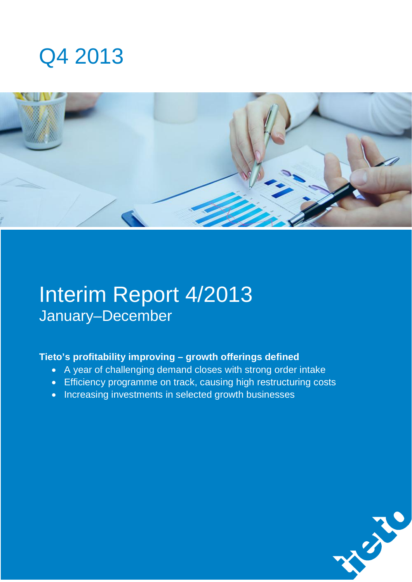



# Interim Report 4/2013 January–December

### **Tieto's profitability improving – growth offerings defined**

- A year of challenging demand closes with strong order intake
- Efficiency programme on track, causing high restructuring costs
- Increasing investments in selected growth businesses

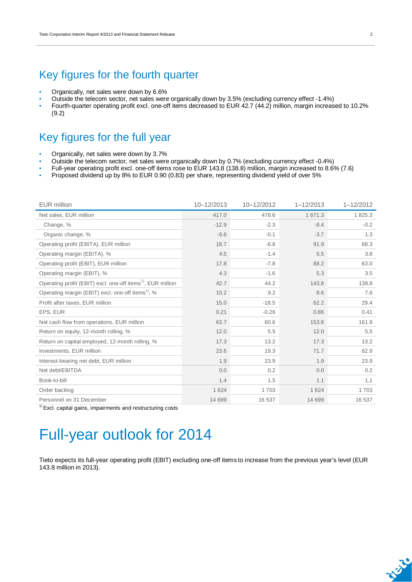### Key figures for the fourth quarter

- Organically, net sales were down by 6.6%
- Outside the telecom sector, net sales were organically down by 3.5% (excluding currency effect -1.4%)
- Fourth-quarter operating profit excl. one-off items decreased to EUR 42.7 (44.2) million, margin increased to 10.2% (9.2)

### Key figures for the full year

- Organically, net sales were down by 3.7%
- Outside the telecom sector, net sales were organically down by 0.7% (excluding currency effect -0.4%)
- Full-year operating profit excl. one-off items rose to EUR 143.8 (138.8) million, margin increased to 8.6% (7.6)
- Proposed dividend up by 8% to EUR 0.90 (0.83) per share, representing dividend yield of over 5%

| <b>EUR</b> million                                                      | 10-12/2013 | 10-12/2012 | $1 - 12/2013$ | $1 - 12/2012$ |
|-------------------------------------------------------------------------|------------|------------|---------------|---------------|
| Net sales, EUR million                                                  | 417.0      | 478.6      | 1 671.3       | 1825.3        |
| Change, %                                                               | $-12.9$    | $-2.3$     | $-8.4$        | $-0.2$        |
| Organic change, %                                                       | $-6.6$     | $-0.1$     | $-3.7$        | 1.3           |
| Operating profit (EBITA), EUR million                                   | 18.7       | $-6.8$     | 91.9          | 68.3          |
| Operating margin (EBITA), %                                             | 4.5        | $-1.4$     | 5.5           | 3.8           |
| Operating profit (EBIT), EUR million                                    | 17.8       | $-7.8$     | 88.2          | 63.0          |
| Operating margin (EBIT), %                                              | 4.3        | $-1.6$     | 5.3           | 3.5           |
| Operating profit (EBIT) excl. one-off items <sup>1)</sup> , EUR million | 42.7       | 44.2       | 143.8         | 138.8         |
| Operating margin (EBIT) excl. one-off items <sup>1)</sup> , %           | 10.2       | 9.2        | 8.6           | 7.6           |
| Profit after taxes, EUR million                                         | 15.0       | $-18.5$    | 62.2          | 29.4          |
| EPS, EUR                                                                | 0.21       | $-0.26$    | 0.86          | 0.41          |
| Net cash flow from operations, EUR million                              | 63.7       | 60.6       | 153.8         | 161.9         |
| Return on equity, 12-month rolling, %                                   | 12.0       | 5.5        | 12.0          | 5.5           |
| Return on capital employed, 12-month rolling, %                         | 17.3       | 13.2       | 17.3          | 13.2          |
| Investments, EUR million                                                | 23.6       | 19.3       | 71.7          | 62.9          |
| Interest-bearing net debt, EUR million                                  | 1.9        | 23.9       | 1.9           | 23.9          |
| Net debt/EBITDA                                                         | 0.0        | 0.2        | 0.0           | 0.2           |
| Book-to-bill                                                            | 1.4        | 1.5        | 1.1           | 1.1           |
| Order backlog                                                           | 1 6 2 4    | 1703       | 1 6 2 4       | 1703          |
| Personnel on 31 December                                                | 14 699     | 16 537     | 14 699        | 16 537        |

 $1)$  Excl. capital gains, impairments and restructuring costs

## Full-year outlook for 2014

Tieto expects its full-year operating profit (EBIT) excluding one-off items to increase from the previous year's level (EUR 143.8 million in 2013).

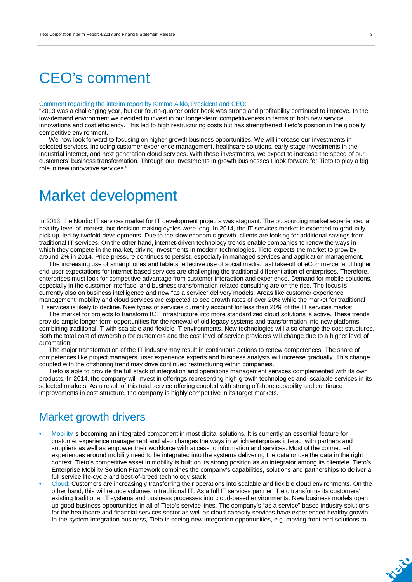## CEO's comment

#### Comment regarding the interim report by Kimmo Alkio, President and CEO:

"2013 was a challenging year, but our fourth-quarter order book was strong and profitability continued to improve. In the low-demand environment we decided to invest in our longer-term competitiveness in terms of both new service innovations and cost efficiency. This led to high restructuring costs but has strengthened Tieto's position in the globally competitive environment.

We now look forward to focusing on higher-growth business opportunities. We will increase our investments in selected services, including customer experience management, healthcare solutions, early-stage investments in the industrial internet, and next generation cloud services. With these investments, we expect to increase the speed of our customers' business transformation. Through our investments in growth businesses I look forward for Tieto to play a big role in new innovative services."

## Market development

In 2013, the Nordic IT services market for IT development projects was stagnant. The outsourcing market experienced a healthy level of interest, but decision-making cycles were long. In 2014, the IT services market is expected to gradually pick up, led by twofold developments. Due to the slow economic growth, clients are looking for additional savings from traditional IT services. On the other hand, internet-driven technology trends enable companies to renew the ways in which they compete in the market, driving investments in modern technologies. Tieto expects the market to grow by around 2% in 2014. Price pressure continues to persist, especially in managed services and application management.

The increasing use of smartphones and tablets, effective use of social media, fast take-off of eCommerce, and higher end-user expectations for internet-based services are challenging the traditional differentiation of enterprises. Therefore, enterprises must look for competitive advantage from customer interaction and experience. Demand for mobile solutions, especially in the customer interface, and business transformation related consulting are on the rise. The focus is currently also on business intelligence and new "as a service" delivery models. Areas like customer experience management, mobility and cloud services are expected to see growth rates of over 20% while the market for traditional IT services is likely to decline. New types of services currently account for less than 20% of the IT services market.

The market for projects to transform ICT infrastructure into more standardized cloud solutions is active. These trends provide ample longer-term opportunities for the renewal of old legacy systems and transformation into new platforms combining traditional IT with scalable and flexible IT environments. New technologies will also change the cost structures. Both the total cost of ownership for customers and the cost level of service providers will change due to a higher level of automation.

The major transformation of the IT industry may result in continuous actions to renew competences. The share of competences like project managers, user experience experts and business analysts will increase gradually. This change coupled with the offshoring trend may drive continued restructuring within companies.

Tieto is able to provide the full stack of integration and operations management services complemented with its own products. In 2014, the company will invest in offerings representing high-growth technologies and scalable services in its selected markets. As a result of this total service offering coupled with strong offshore capability and continued improvements in cost structure, the company is highly competitive in its target markets.

### Market growth drivers

- Mobility is becoming an integrated component in most digital solutions. It is currently an essential feature for customer experience management and also changes the ways in which enterprises interact with partners and suppliers as well as empower their workforce with access to information and services. Most of the connected experiences around mobility need to be integrated into the systems delivering the data or use the data in the right context. Tieto's competitive asset in mobility is built on its strong position as an integrator among its clientele. Tieto's Enterprise Mobility Solution Framework combines the company's capabilities, solutions and partnerships to deliver a full service life-cycle and best-of-breed technology stack.
- Cloud: Customers are increasingly transferring their operations into scalable and flexible cloud environments. On the other hand, this will reduce volumes in traditional IT. As a full IT services partner, Tieto transforms its customers' existing traditional IT systems and business processes into cloud-based environments. New business models open up good business opportunities in all of Tieto's service lines. The company's "as a service" based industry solutions for the healthcare and financial services sector as well as cloud capacity services have experienced healthy growth. In the system integration business, Tieto is seeing new integration opportunities, e.g. moving front-end solutions to

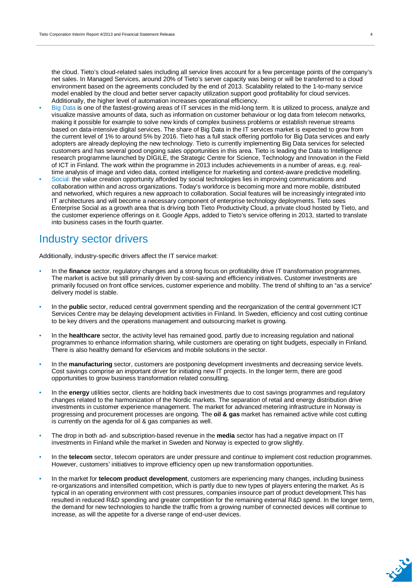the cloud. Tieto's cloud-related sales including all service lines account for a few percentage points of the company's net sales. In Managed Services, around 20% of Tieto's server capacity was being or will be transferred to a cloud environment based on the agreements concluded by the end of 2013. Scalability related to the 1-to-many service model enabled by the cloud and better server capacity utilization support good profitability for cloud services. Additionally, the higher level of automation increases operational efficiency.

- Big Data is one of the fastest-growing areas of IT services in the mid-long term. It is utilized to process, analyze and visualize massive amounts of data, such as information on customer behaviour or log data from telecom networks, making it possible for example to solve new kinds of complex business problems or establish revenue streams based on data-intensive digital services. The share of Big Data in the IT services market is expected to grow from the current level of 1% to around 5% by 2016. Tieto has a full stack offering portfolio for Big Data services and early adopters are already deploying the new technology. Tieto is currently implementing Big Data services for selected customers and has several good ongoing sales opportunities in this area. Tieto is leading the Data to Intelligence research programme launched by DIGILE, the Strategic Centre for Science, Technology and Innovation in the Field of ICT in Finland. The work within the programme in 2013 includes achievements in a number of areas, e.g. realtime analysis of image and video data, context intelligence for marketing and context-aware predictive modelling.
- Social: the value creation opportunity afforded by social technologies lies in improving communications and collaboration within and across organizations. Today's workforce is becoming more and more mobile, distributed and networked, which requires a new approach to collaboration. Social features will be increasingly integrated into IT architectures and will become a necessary component of enterprise technology deployments. Tieto sees Enterprise Social as a growth area that is driving both Tieto Productivity Cloud, a private cloud hosted by Tieto, and the customer experience offerings on it. Google Apps, added to Tieto's service offering in 2013, started to translate into business cases in the fourth quarter.

### Industry sector drivers

Additionally, industry-specific drivers affect the IT service market:

- In the **finance** sector, regulatory changes and a strong focus on profitability drive IT transformation programmes. The market is active but still primarily driven by cost-saving and efficiency initiatives. Customer investments are primarily focused on front office services, customer experience and mobility. The trend of shifting to an "as a service" delivery model is stable.
- In the **public** sector, reduced central government spending and the reorganization of the central government ICT Services Centre may be delaying development activities in Finland. In Sweden, efficiency and cost cutting continue to be key drivers and the operations management and outsourcing market is growing.
- In the **healthcare** sector, the activity level has remained good, partly due to increasing regulation and national programmes to enhance information sharing, while customers are operating on tight budgets, especially in Finland. There is also healthy demand for eServices and mobile solutions in the sector.
- In the **manufacturing** sector, customers are postponing development investments and decreasing service levels. Cost savings comprise an important driver for initiating new IT projects. In the longer term, there are good opportunities to grow business transformation related consulting.
- In the **energy** utilities sector, clients are holding back investments due to cost savings programmes and regulatory changes related to the harmonization of the Nordic markets. The separation of retail and energy distribution drive investments in customer experience management. The market for advanced metering infrastructure in Norway is progressing and procurement processes are ongoing. The **oil & gas** market has remained active while cost cutting is currently on the agenda for oil & gas companies as well.
- The drop in both ad- and subscription-based revenue in the **media** sector has had a negative impact on IT investments in Finland while the market in Sweden and Norway is expected to grow slightly.
- In the **telecom** sector, telecom operators are under pressure and continue to implement cost reduction programmes. However, customers' initiatives to improve efficiency open up new transformation opportunities.
- In the market for **telecom product development**, customers are experiencing many changes, including business re-organizations and intensified competition, which is partly due to new types of players entering the market. As is typical in an operating environment with cost pressures, companies insource part of product development.This has resulted in reduced R&D spending and greater competition for the remaining external R&D spend. In the longer term, the demand for new technologies to handle the traffic from a growing number of connected devices will continue to increase, as will the appetite for a diverse range of end-user devices.

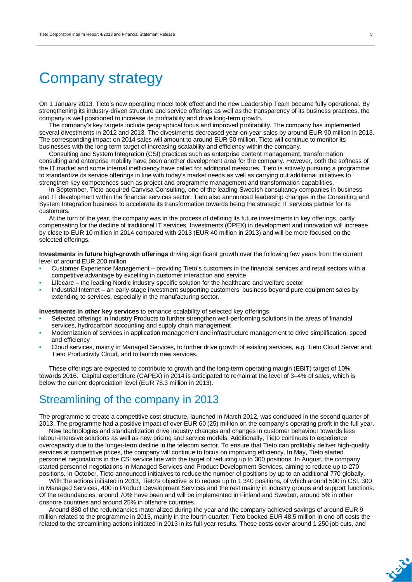## Company strategy

On 1 January 2013, Tieto's new operating model took effect and the new Leadership Team became fully operational. By strengthening its industry-driven structure and service offerings as well as the transparency of its business practices, the company is well positioned to increase its profitability and drive long-term growth.

The company's key targets include geographical focus and improved profitability. The company has implemented several divestments in 2012 and 2013. The divestments decreased year-on-year sales by around EUR 90 million in 2013. The corresponding impact on 2014 sales will amount to around EUR 50 million. Tieto will continue to monitor its businesses with the long-term target of increasing scalability and efficiency within the company.

Consulting and System Integration (CSI) practices such as enterprise content management, transformation consulting and enterprise mobility have been another development area for the company. However, both the softness of the IT market and some internal inefficiency have called for additional measures. Tieto is actively pursuing a programme to standardize its service offerings in line with today's market needs as well as carrying out additional initiatives to strengthen key competences such as project and programme management and transformation capabilities.

In September, Tieto acquired Canvisa Consulting, one of the leading Swedish consultancy companies in business and IT development within the financial services sector. Tieto also announced leadership changes in the Consulting and System Integration business to accelerate its transformation towards being the strategic IT services partner for its customers.

At the turn of the year, the company was in the process of defining its future investments in key offerings, partly compensating for the decline of traditional IT services. Investments (OPEX) in development and innovation will increase by close to EUR 10 million in 2014 compared with 2013 (EUR 40 million in 2013) and will be more focused on the selected offerings.

**Investments in future high-growth offerings** driving significant growth over the following few years from the current level of around EUR 200 million

- Customer Experience Management providing Tieto's customers in the financial services and retail sectors with a competitive advantage by excelling in customer interaction and service
- Lifecare the leading Nordic industry-specific solution for the healthcare and welfare sector
- Industrial Internet an early-stage investment supporting customers' business beyond pure equipment sales by extending to services, especially in the manufacturing sector.

**Investments in other key services** to enhance scalability of selected key offerings

- Selected offerings in Industry Products to further strengthen well-performing solutions in the areas of financial services, hydrocarbon accounting and supply chain management
- Modernization of services in application management and infrastructure management to drive simplification, speed and efficiency
- Cloud services, mainly in Managed Services, to further drive growth of existing services, e.g. Tieto Cloud Server and Tieto Productivity Cloud, and to launch new services.

These offerings are expected to contribute to growth and the long-term operating margin (EBIT) target of 10% towards 2016. Capital expenditure (CAPEX) in 2014 is anticipated to remain at the level of 3–4% of sales, which is below the current depreciation level (EUR 78.3 million in 2013).

### Streamlining of the company in 2013

The programme to create a competitive cost structure, launched in March 2012, was concluded in the second quarter of 2013. The programme had a positive impact of over EUR 60 (25) million on the company's operating profit in the full year.

New technologies and standardization drive industry changes and changes in customer behaviour towards less labour-intensive solutions as well as new pricing and service models. Additionally, Tieto continues to experience overcapacity due to the longer-term decline in the telecom sector. To ensure that Tieto can profitably deliver high-quality services at competitive prices, the company will continue to focus on improving efficiency. In May, Tieto started personnel negotiations in the CSI service line with the target of reducing up to 300 positions. In August, the company started personnel negotiations in Managed Services and Product Development Services, aiming to reduce up to 270 positions. In October, Tieto announced initiatives to reduce the number of positions by up to an additional 770 globally.

With the actions initiated in 2013, Tieto's objective is to reduce up to 1 340 positions, of which around 500 in CSI, 300 in Managed Services, 400 in Product Development Services and the rest mainly in industry groups and support functions. Of the redundancies, around 70% have been and will be implemented in Finland and Sweden, around 5% in other onshore countries and around 25% in offshore countries.

Around 880 of the redundancies materialized during the year and the company achieved savings of around EUR 9 million related to the programme in 2013, mainly in the fourth quarter. Tieto booked EUR 48.5 million in one-off costs the related to the streamlining actions initiated in 2013 in its full-year results. These costs cover around 1 250 job cuts, and

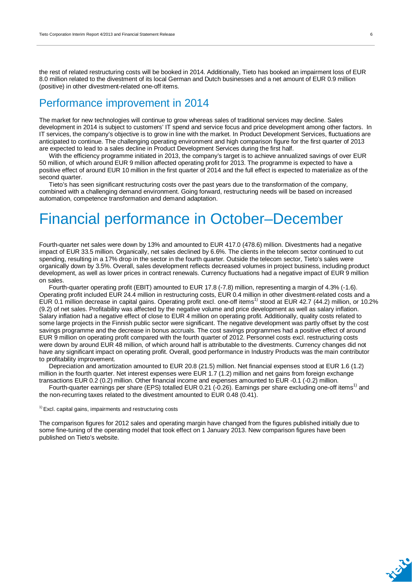the rest of related restructuring costs will be booked in 2014. Additionally, Tieto has booked an impairment loss of EUR 8.0 million related to the divestment of its local German and Dutch businesses and a net amount of EUR 0.9 million (positive) in other divestment-related one-off items.

### Performance improvement in 2014

The market for new technologies will continue to grow whereas sales of traditional services may decline. Sales development in 2014 is subject to customers' IT spend and service focus and price development among other factors. In IT services, the company's objective is to grow in line with the market. In Product Development Services, fluctuations are anticipated to continue. The challenging operating environment and high comparison figure for the first quarter of 2013 are expected to lead to a sales decline in Product Development Services during the first half.

With the efficiency programme initiated in 2013, the company's target is to achieve annualized savings of over EUR 50 million, of which around EUR 9 million affected operating profit for 2013. The programme is expected to have a positive effect of around EUR 10 million in the first quarter of 2014 and the full effect is expected to materialize as of the second quarter.

Tieto's has seen significant restructuring costs over the past years due to the transformation of the company, combined with a challenging demand environment. Going forward, restructuring needs will be based on increased automation, competence transformation and demand adaptation.

## Financial performance in October–December

Fourth-quarter net sales were down by 13% and amounted to EUR 417.0 (478.6) million. Divestments had a negative impact of EUR 33.5 million. Organically, net sales declined by 6.6%. The clients in the telecom sector continued to cut spending, resulting in a 17% drop in the sector in the fourth quarter. Outside the telecom sector, Tieto's sales were organically down by 3.5%. Overall, sales development reflects decreased volumes in project business, including product development, as well as lower prices in contract renewals. Currency fluctuations had a negative impact of EUR 9 million on sales.

Fourth-quarter operating profit (EBIT) amounted to EUR 17.8 (-7.8) million, representing a margin of 4.3% (-1.6). Operating profit included EUR 24.4 million in restructuring costs, EUR 0.4 million in other divestment-related costs and a EUR 0.1 million decrease in capital gains. Operating profit excl. one-off items<sup>1)</sup> stood at EUR 42.7 (44.2) million, or 10.2% (9.2) of net sales. Profitability was affected by the negative volume and price development as well as salary inflation. Salary inflation had a negative effect of close to EUR 4 million on operating profit. Additionally, quality costs related to some large projects in the Finnish public sector were significant. The negative development was partly offset by the cost savings programme and the decrease in bonus accruals. The cost savings programmes had a positive effect of around EUR 9 million on operating profit compared with the fourth quarter of 2012. Personnel costs excl. restructuring costs were down by around EUR 48 million, of which around half is attributable to the divestments. Currency changes did not have any significant impact on operating profit. Overall, good performance in Industry Products was the main contributor to profitability improvement.

Depreciation and amortization amounted to EUR 20.8 (21.5) million. Net financial expenses stood at EUR 1.6 (1.2) million in the fourth quarter. Net interest expenses were EUR 1.7 (1.2) million and net gains from foreign exchange transactions EUR 0.2 (0.2) million. Other financial income and expenses amounted to EUR -0.1 (-0.2) million.

Fourth-quarter earnings per share (EPS) totalled EUR 0.21 (-0.26). Earnings per share excluding one-off items<sup>1)</sup> and the non-recurring taxes related to the divestment amounted to EUR 0.48 (0.41).

 $<sup>1</sup>$  Excl. capital gains, impairments and restructuring costs</sup>

The comparison figures for 2012 sales and operating margin have changed from the figures published initially due to some fine-tuning of the operating model that took effect on 1 January 2013. New comparison figures have been published on Tieto's website.

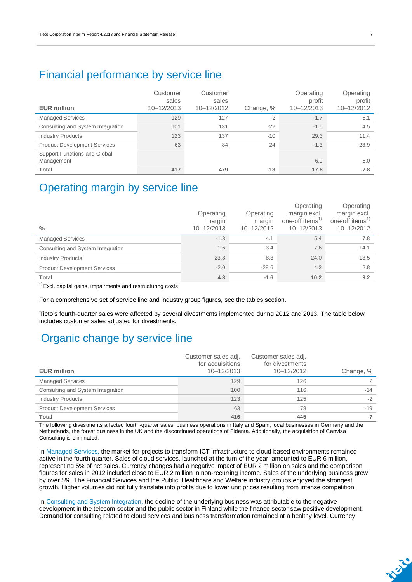### Financial performance by service line

| <b>EUR million</b>                         | Customer<br>sales<br>10-12/2013 | Customer<br>sales<br>10-12/2012 | Change, %      | Operating<br>profit<br>10-12/2013 | Operating<br>profit<br>10-12/2012 |
|--------------------------------------------|---------------------------------|---------------------------------|----------------|-----------------------------------|-----------------------------------|
| <b>Managed Services</b>                    | 129                             | 127                             | $\overline{2}$ | $-1.7$                            | 5.1                               |
| Consulting and System Integration          | 101                             | 131                             | $-22$          | $-1.6$                            | 4.5                               |
| <b>Industry Products</b>                   | 123                             | 137                             | $-10$          | 29.3                              | 11.4                              |
| <b>Product Development Services</b>        | 63                              | 84                              | $-24$          | $-1.3$                            | $-23.9$                           |
| Support Functions and Global<br>Management |                                 |                                 |                | $-6.9$                            | $-5.0$                            |
| Total                                      | 417                             | 479                             | $-13$          | 17.8                              | $-7.8$                            |

### Operating margin by service line

| $\frac{0}{0}$                       | Operating<br>margin<br>10-12/2013 | Operating<br>margin<br>10-12/2012 | Operating<br>margin excl.<br>one-off items <sup>1)</sup><br>10-12/2013 | Operating<br>margin excl.<br>one-off items <sup>1)</sup><br>10-12/2012 |
|-------------------------------------|-----------------------------------|-----------------------------------|------------------------------------------------------------------------|------------------------------------------------------------------------|
| <b>Managed Services</b>             | $-1.3$                            | 4.1                               | 5.4                                                                    | 7.8                                                                    |
| Consulting and System Integration   | $-1.6$                            | 3.4                               | 7.6                                                                    | 14.1                                                                   |
| <b>Industry Products</b>            | 23.8                              | 8.3                               | 24.0                                                                   | 13.5                                                                   |
| <b>Product Development Services</b> | $-2.0$                            | $-28.6$                           | 4.2                                                                    | 2.8                                                                    |
| <b>Total</b>                        | 4.3                               | $-1.6$                            | 10.2                                                                   | 9.2                                                                    |
| $\overline{a}$                      |                                   |                                   |                                                                        |                                                                        |

 $1)$  Excl. capital gains, impairments and restructuring costs

For a comprehensive set of service line and industry group figures, see the tables section.

Tieto's fourth-quarter sales were affected by several divestments implemented during 2012 and 2013. The table below includes customer sales adjusted for divestments.

### Organic change by service line

|                                     | Customer sales adj.<br>for acquisitions | Customer sales adj.<br>for divestments |           |
|-------------------------------------|-----------------------------------------|----------------------------------------|-----------|
| <b>EUR million</b>                  | 10-12/2013                              | 10-12/2012                             | Change, % |
| <b>Managed Services</b>             | 129                                     | 126                                    | 2         |
| Consulting and System Integration   | 100                                     | 116                                    | -14       |
| <b>Industry Products</b>            | 123                                     | 125                                    | $-2$      |
| <b>Product Development Services</b> | 63                                      | 78                                     | $-19$     |
| Total                               | 416                                     | 445                                    | -7        |

The following divestments affected fourth-quarter sales: business operations in Italy and Spain, local businesses in Germany and the Netherlands, the forest business in the UK and the discontinued operations of Fidenta. Additionally, the acquisition of Canvisa Consulting is eliminated.

In Managed Services, the market for projects to transform ICT infrastructure to cloud-based environments remained active in the fourth quarter. Sales of cloud services, launched at the turn of the year, amounted to EUR 6 million, representing 5% of net sales. Currency changes had a negative impact of EUR 2 million on sales and the comparison figures for sales in 2012 included close to EUR 2 million in non-recurring income. Sales of the underlying business grew by over 5%. The Financial Services and the Public, Healthcare and Welfare industry groups enjoyed the strongest growth. Higher volumes did not fully translate into profits due to lower unit prices resulting from intense competition.

In Consulting and System Integration, the decline of the underlying business was attributable to the negative development in the telecom sector and the public sector in Finland while the finance sector saw positive development. Demand for consulting related to cloud services and business transformation remained at a healthy level. Currency

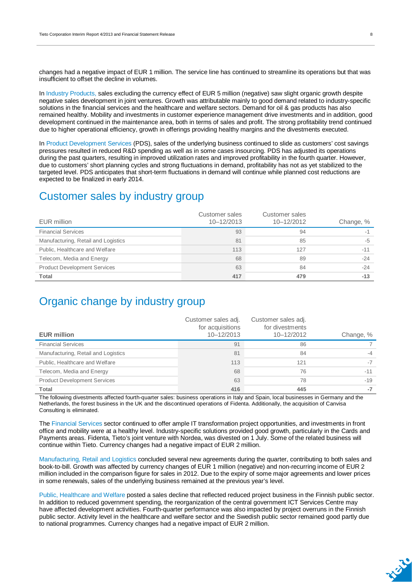changes had a negative impact of EUR 1 million. The service line has continued to streamline its operations but that was insufficient to offset the decline in volumes.

In Industry Products, sales excluding the currency effect of EUR 5 million (negative) saw slight organic growth despite negative sales development in joint ventures. Growth was attributable mainly to good demand related to industry-specific solutions in the financial services and the healthcare and welfare sectors. Demand for oil & gas products has also remained healthy. Mobility and investments in customer experience management drive investments and in addition, good development continued in the maintenance area, both in terms of sales and profit. The strong profitability trend continued due to higher operational efficiency, growth in offerings providing healthy margins and the divestments executed.

In Product Development Services (PDS), sales of the underlying business continued to slide as customers' cost savings pressures resulted in reduced R&D spending as well as in some cases insourcing. PDS has adjusted its operations during the past quarters, resulting in improved utilization rates and improved profitability in the fourth quarter. However, due to customers' short planning cycles and strong fluctuations in demand, profitability has not as yet stabilized to the targeted level. PDS anticipates that short-term fluctuations in demand will continue while planned cost reductions are expected to be finalized in early 2014.

### Customer sales by industry group

| EUR million                         | Customer sales<br>$10 - 12/2013$ | Customer sales<br>10-12/2012 | Change, % |
|-------------------------------------|----------------------------------|------------------------------|-----------|
| <b>Financial Services</b>           | 93                               | 94                           | $-1$      |
| Manufacturing, Retail and Logistics | 81                               | 85                           | -5        |
| Public, Healthcare and Welfare      | 113                              | 127                          | $-11$     |
| Telecom, Media and Energy           | 68                               | 89                           | $-24$     |
| <b>Product Development Services</b> | 63                               | 84                           | $-24$     |
| Total                               | 417                              | 479                          | $-13$     |

### Organic change by industry group

| <b>EUR million</b>                  | Customer sales adj.<br>for acquisitions<br>10-12/2013 | Customer sales adj.<br>for divestments<br>10-12/2012 | Change, % |
|-------------------------------------|-------------------------------------------------------|------------------------------------------------------|-----------|
| <b>Financial Services</b>           | 91                                                    | 86                                                   |           |
| Manufacturing, Retail and Logistics | 81                                                    | 84                                                   | $-4$      |
| Public, Healthcare and Welfare      | 113                                                   | 121                                                  | $-7$      |
| Telecom, Media and Energy           | 68                                                    | 76                                                   | $-11$     |
| <b>Product Development Services</b> | 63                                                    | 78                                                   | $-19$     |
| Total                               | 416                                                   | 445                                                  | -7        |

The following divestments affected fourth-quarter sales: business operations in Italy and Spain, local businesses in Germany and the Netherlands, the forest business in the UK and the discontinued operations of Fidenta. Additionally, the acquisition of Canvisa Consulting is eliminated.

The Financial Services sector continued to offer ample IT transformation project opportunities, and investments in front office and mobility were at a healthy level. Industry-specific solutions provided good growth, particularly in the Cards and Payments areas. Fidenta, Tieto's joint venture with Nordea, was divested on 1 July. Some of the related business will continue within Tieto. Currency changes had a negative impact of EUR 2 million.

Manufacturing, Retail and Logistics concluded several new agreements during the quarter, contributing to both sales and book-to-bill. Growth was affected by currency changes of EUR 1 million (negative) and non-recurring income of EUR 2 million included in the comparison figure for sales in 2012. Due to the expiry of some major agreements and lower prices in some renewals, sales of the underlying business remained at the previous year's level.

Public, Healthcare and Welfare posted a sales decline that reflected reduced project business in the Finnish public sector. In addition to reduced government spending, the reorganization of the central government ICT Services Centre may have affected development activities. Fourth-quarter performance was also impacted by project overruns in the Finnish public sector. Activity level in the healthcare and welfare sector and the Swedish public sector remained good partly due to national programmes. Currency changes had a negative impact of EUR 2 million.

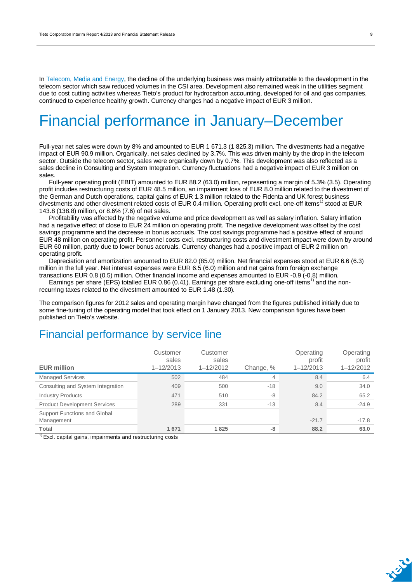In Telecom, Media and Energy, the decline of the underlying business was mainly attributable to the development in the telecom sector which saw reduced volumes in the CSI area. Development also remained weak in the utilities segment due to cost cutting activities whereas Tieto's product for hydrocarbon accounting, developed for oil and gas companies, continued to experience healthy growth. Currency changes had a negative impact of EUR 3 million.

## Financial performance in January–December

Full-year net sales were down by 8% and amounted to EUR 1 671.3 (1 825.3) million. The divestments had a negative impact of EUR 90.9 million. Organically, net sales declined by 3.7%. This was driven mainly by the drop in the telecom sector. Outside the telecom sector, sales were organically down by 0.7%. This development was also reflected as a sales decline in Consulting and System Integration. Currency fluctuations had a negative impact of EUR 3 million on sales.

Full-year operating profit (EBIT) amounted to EUR 88.2 (63.0) million, representing a margin of 5.3% (3.5). Operating profit includes restructuring costs of EUR 48.5 million, an impairment loss of EUR 8.0 million related to the divestment of the German and Dutch operations, capital gains of EUR 1.3 million related to the Fidenta and UK forest business divestments and other divestment related costs of EUR 0.4 million. Operating profit excl. one-off items<sup>1)</sup> stood at EUR 143.8 (138.8) million, or 8.6% (7.6) of net sales.

Profitability was affected by the negative volume and price development as well as salary inflation. Salary inflation had a negative effect of close to EUR 24 million on operating profit. The negative development was offset by the cost savings programme and the decrease in bonus accruals. The cost savings programme had a positive effect of around EUR 48 million on operating profit. Personnel costs excl. restructuring costs and divestment impact were down by around EUR 60 million, partly due to lower bonus accruals. Currency changes had a positive impact of EUR 2 million on operating profit.

Depreciation and amortization amounted to EUR 82.0 (85.0) million. Net financial expenses stood at EUR 6.6 (6.3) million in the full year. Net interest expenses were EUR 6.5 (6.0) million and net gains from foreign exchange transactions EUR 0.8 (0.5) million. Other financial income and expenses amounted to EUR -0.9 (-0.8) million.

Earnings per share (EPS) totalled EUR 0.86 (0.41). Earnings per share excluding one-off items<sup>1)</sup> and the nonrecurring taxes related to the divestment amounted to EUR 1.48 (1.30).

The comparison figures for 2012 sales and operating margin have changed from the figures published initially due to some fine-tuning of the operating model that took effect on 1 January 2013. New comparison figures have been published on Tieto's website.

### Financial performance by service line

| <b>EUR million</b>                         | Customer<br>sales<br>$1 - 12/2013$ | Customer<br>sales<br>$1 - 12/2012$ | Change, % | Operating<br>profit<br>$1 - 12/2013$ | Operating<br>profit<br>$1 - 12/2012$ |
|--------------------------------------------|------------------------------------|------------------------------------|-----------|--------------------------------------|--------------------------------------|
| <b>Managed Services</b>                    | 502                                | 484                                | 4         | 8.4                                  | 6.4                                  |
| Consulting and System Integration          | 409                                | 500                                | $-18$     | 9.0                                  | 34.0                                 |
| <b>Industry Products</b>                   | 471                                | 510                                | -8        | 84.2                                 | 65.2                                 |
| <b>Product Development Services</b>        | 289                                | 331                                | $-13$     | 8.4                                  | $-24.9$                              |
| Support Functions and Global<br>Management |                                    |                                    |           | $-21.7$                              | $-17.8$                              |
| <b>Total</b><br>$\overline{\phantom{a}}$   | 1671                               | 1825                               | $-8$      | 88.2                                 | 63.0                                 |

 $1$ <sup>1)</sup> Excl. capital gains, impairments and restructuring costs

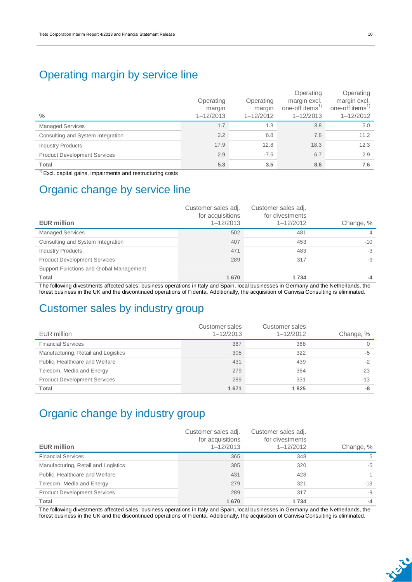### Operating margin by service line

| $\frac{0}{0}$                       | Operating<br>margin<br>$1 - 12/2013$ | Operating<br>margin<br>$1 - 12/2012$ | Operating<br>margin excl.<br>one-off items <sup>1)</sup><br>$1 - 12/2013$ | Operating<br>margin excl.<br>one-off items <sup>1)</sup><br>$1 - 12/2012$ |
|-------------------------------------|--------------------------------------|--------------------------------------|---------------------------------------------------------------------------|---------------------------------------------------------------------------|
| <b>Managed Services</b>             | 1.7                                  | 1.3                                  | 3.8                                                                       | 5.0                                                                       |
| Consulting and System Integration   | 2.2                                  | 6.8                                  | 7.8                                                                       | 11.2                                                                      |
| <b>Industry Products</b>            | 17.9                                 | 12.8                                 | 18.3                                                                      | 12.3                                                                      |
| <b>Product Development Services</b> | 2.9                                  | $-7.5$                               | 6.7                                                                       | 2.9                                                                       |
| <b>Total</b>                        | 5.3                                  | 3.5                                  | 8.6                                                                       | 7.6                                                                       |

 $1)$  Excl. capital gains, impairments and restructuring costs

### Organic change by service line

| <b>EUR million</b>                      | Customer sales adj.<br>for acquisitions<br>$1 - 12/2013$ | Customer sales adj.<br>for divestments<br>$1 - 12/2012$ | Change, %      |
|-----------------------------------------|----------------------------------------------------------|---------------------------------------------------------|----------------|
|                                         |                                                          |                                                         |                |
| <b>Managed Services</b>                 | 502                                                      | 481                                                     | $\overline{4}$ |
| Consulting and System Integration       | 407                                                      | 453                                                     | $-10$          |
| <b>Industry Products</b>                | 471                                                      | 483                                                     | $-3$           |
| <b>Product Development Services</b>     | 289                                                      | 317                                                     | -9             |
| Support Functions and Global Management |                                                          |                                                         |                |
| <b>Total</b>                            | 1670                                                     | 1 7 3 4                                                 | -4             |

The following divestments affected sales: business operations in Italy and Spain, local businesses in Germany and the Netherlands, the forest business in the UK and the discontinued operations of Fidenta. Additionally, the acquisition of Canvisa Consulting is eliminated.

### Customer sales by industry group

| EUR million                         | Customer sales<br>$1 - 12/2013$ | Customer sales<br>$1 - 12/2012$ | Change, % |
|-------------------------------------|---------------------------------|---------------------------------|-----------|
|                                     |                                 |                                 |           |
| <b>Financial Services</b>           | 367                             | 368                             |           |
| Manufacturing, Retail and Logistics | 305                             | 322                             | $-5$      |
| Public, Healthcare and Welfare      | 431                             | 439                             | $-2$      |
| Telecom, Media and Energy           | 279                             | 364                             | $-23$     |
| <b>Product Development Services</b> | 289                             | 331                             | $-13$     |
| Total                               | 1671                            | 1825                            | -8        |

### Organic change by industry group

| <b>EUR million</b>                  | Customer sales adj.<br>for acquisitions<br>$1 - 12/2013$ | Customer sales adj.<br>for divestments<br>$1 - 12/2012$ | Change, % |
|-------------------------------------|----------------------------------------------------------|---------------------------------------------------------|-----------|
| <b>Financial Services</b>           | 365                                                      | 348                                                     | 5         |
| Manufacturing, Retail and Logistics | 305                                                      | 320                                                     | -5        |
| Public, Healthcare and Welfare      | 431                                                      | 428                                                     |           |
| Telecom, Media and Energy           | 279                                                      | 321                                                     | $-13$     |
| <b>Product Development Services</b> | 289                                                      | 317                                                     | -9        |
| Total                               | 1670                                                     | 1734                                                    | -4        |

The following divestments affected sales: business operations in Italy and Spain, local businesses in Germany and the Netherlands, the forest business in the UK and the discontinued operations of Fidenta. Additionally, the acquisition of Canvisa Consulting is eliminated.

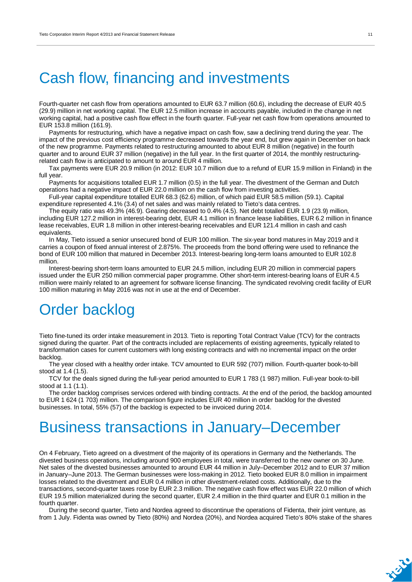## Cash flow, financing and investments

Fourth-quarter net cash flow from operations amounted to EUR 63.7 million (60.6), including the decrease of EUR 40.5 (29.9) million in net working capital. The EUR 12.5 million increase in accounts payable, included in the change in net working capital, had a positive cash flow effect in the fourth quarter. Full-year net cash flow from operations amounted to EUR 153.8 million (161.9).

Payments for restructuring, which have a negative impact on cash flow, saw a declining trend during the year. The impact of the previous cost efficiency programme decreased towards the year end, but grew again in December on back of the new programme. Payments related to restructuring amounted to about EUR 8 million (negative) in the fourth quarter and to around EUR 37 million (negative) in the full year. In the first quarter of 2014, the monthly restructuringrelated cash flow is anticipated to amount to around EUR 4 million.

Tax payments were EUR 20.9 million (in 2012: EUR 10.7 million due to a refund of EUR 15.9 million in Finland) in the full year.

Payments for acquisitions totalled EUR 1.7 million (0.5) in the full year. The divestment of the German and Dutch operations had a negative impact of EUR 22.0 million on the cash flow from investing activities.

Full-year capital expenditure totalled EUR 68.3 (62.6) million, of which paid EUR 58.5 million (59.1). Capital expenditure represented 4.1% (3.4) of net sales and was mainly related to Tieto's data centres.

The equity ratio was 49.3% (46.9). Gearing decreased to 0.4% (4.5). Net debt totalled EUR 1.9 (23.9) million, including EUR 127.2 million in interest-bearing debt, EUR 4.1 million in finance lease liabilities, EUR 6.2 million in finance lease receivables, EUR 1.8 million in other interest-bearing receivables and EUR 121.4 million in cash and cash equivalents.

In May, Tieto issued a senior unsecured bond of EUR 100 million. The six-year bond matures in May 2019 and it carries a coupon of fixed annual interest of 2.875%. The proceeds from the bond offering were used to refinance the bond of EUR 100 million that matured in December 2013. Interest-bearing long-term loans amounted to EUR 102.8 million.

Interest-bearing short-term loans amounted to EUR 24.5 million, including EUR 20 million in commercial papers issued under the EUR 250 million commercial paper programme. Other short-term interest-bearing loans of EUR 4.5 million were mainly related to an agreement for software license financing. The syndicated revolving credit facility of EUR 100 million maturing in May 2016 was not in use at the end of December.

## Order backlog

Tieto fine-tuned its order intake measurement in 2013. Tieto is reporting Total Contract Value (TCV) for the contracts signed during the quarter. Part of the contracts included are replacements of existing agreements, typically related to transformation cases for current customers with long existing contracts and with no incremental impact on the order backlog.

The year closed with a healthy order intake. TCV amounted to EUR 592 (707) million. Fourth-quarter book-to-bill stood at 1.4 (1.5).

TCV for the deals signed during the full-year period amounted to EUR 1 783 (1 987) million. Full-year book-to-bill stood at 1.1 (1.1).

The order backlog comprises services ordered with binding contracts. At the end of the period, the backlog amounted to EUR 1 624 (1 703) million. The comparison figure includes EUR 40 million in order backlog for the divested businesses. In total, 55% (57) of the backlog is expected to be invoiced during 2014.

## Business transactions in January–December

On 4 February, Tieto agreed on a divestment of the majority of its operations in Germany and the Netherlands. The divested business operations, including around 900 employees in total, were transferred to the new owner on 30 June. Net sales of the divested businesses amounted to around EUR 44 million in July–December 2012 and to EUR 37 million in January–June 2013. The German businesses were loss-making in 2012. Tieto booked EUR 8.0 million in impairment losses related to the divestment and EUR 0.4 million in other divestment-related costs. Additionally, due to the transactions, second-quarter taxes rose by EUR 2.3 million. The negative cash flow effect was EUR 22.0 million of which EUR 19.5 million materialized during the second quarter, EUR 2.4 million in the third quarter and EUR 0.1 million in the fourth quarter.

During the second quarter, Tieto and Nordea agreed to discontinue the operations of Fidenta, their joint venture, as from 1 July. Fidenta was owned by Tieto (80%) and Nordea (20%), and Nordea acquired Tieto's 80% stake of the shares

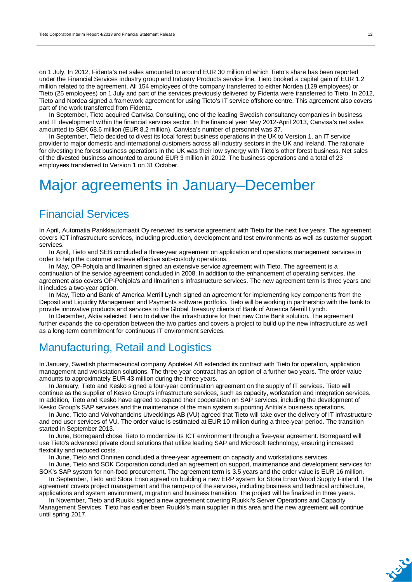on 1 July. In 2012, Fidenta's net sales amounted to around EUR 30 million of which Tieto's share has been reported under the Financial Services industry group and Industry Products service line. Tieto booked a capital gain of EUR 1.2 million related to the agreement. All 154 employees of the company transferred to either Nordea (129 employees) or Tieto (25 employees) on 1 July and part of the services previously delivered by Fidenta were transferred to Tieto. In 2012, Tieto and Nordea signed a framework agreement for using Tieto's IT service offshore centre. This agreement also covers part of the work transferred from Fidenta.

In September, Tieto acquired Canvisa Consulting, one of the leading Swedish consultancy companies in business and IT development within the financial services sector. In the financial year May 2012-April 2013, Canvisa's net sales amounted to SEK 68.6 million (EUR 8.2 million). Canvisa's number of personnel was 37.

In September, Tieto decided to divest its local forest business operations in the UK to Version 1, an IT service provider to major domestic and international customers across all industry sectors in the UK and Ireland. The rationale for divesting the forest business operations in the UK was their low synergy with Tieto's other forest business. Net sales of the divested business amounted to around EUR 3 million in 2012. The business operations and a total of 23 employees transferred to Version 1 on 31 October.

## Major agreements in January–December

### Financial Services

In April, Automatia Pankkiautomaatit Oy renewed its service agreement with Tieto for the next five years. The agreement covers ICT infrastructure services, including production, development and test environments as well as customer support services.

In April, Tieto and SEB concluded a three-year agreement on application and operations management services in order to help the customer achieve effective sub-custody operations.

In May, OP-Pohjola and Ilmarinen signed an extensive service agreement with Tieto. The agreement is a continuation of the service agreement concluded in 2008. In addition to the enhancement of operating services, the agreement also covers OP-Pohjola's and Ilmarinen's infrastructure services. The new agreement term is three years and it includes a two-year option.

In May, Tieto and Bank of America Merrill Lynch signed an agreement for implementing key components from the Deposit and Liquidity Management and Payments software portfolio. Tieto will be working in partnership with the bank to provide innovative products and services to the Global Treasury clients of Bank of America Merrill Lynch.

In December, Aktia selected Tieto to deliver the infrastructure for their new Core Bank solution. The agreement further expands the co-operation between the two parties and covers a project to build up the new infrastructure as well as a long-term commitment for continuous IT environment services.

### Manufacturing, Retail and Logistics

In January, Swedish pharmaceutical company Apoteket AB extended its contract with Tieto for operation, application management and workstation solutions. The three-year contract has an option of a further two years. The order value amounts to approximately EUR 43 million during the three years.

In January, Tieto and Kesko signed a four-year continuation agreement on the supply of IT services. Tieto will continue as the supplier of Kesko Group's infrastructure services, such as capacity, workstation and integration services. In addition, Tieto and Kesko have agreed to expand their cooperation on SAP services, including the development of Kesko Group's SAP services and the maintenance of the main system supporting Anttila's business operations.

In June, Tieto and Volvohandelns Utvecklings AB (VU) agreed that Tieto will take over the delivery of IT infrastructure and end user services of VU. The order value is estimated at EUR 10 million during a three-year period. The transition started in September 2013.

In June, Borregaard chose Tieto to modernize its ICT environment through a five-year agreement. Borregaard will use Tieto's advanced private cloud solutions that utilize leading SAP and Microsoft technology, ensuring increased flexibility and reduced costs.

In June, Tieto and Onninen concluded a three-year agreement on capacity and workstations services.

In June, Tieto and SOK Corporation concluded an agreement on support, maintenance and development services for SOK's SAP system for non-food procurement. The agreement term is 3.5 years and the order value is EUR 16 million.

In September, Tieto and Stora Enso agreed on building a new ERP system for Stora Enso Wood Supply Finland. The agreement covers project management and the ramp-up of the services, including business and technical architecture, applications and system environment, migration and business transition. The project will be finalized in three years.

In November, Tieto and Ruukki signed a new agreement covering Ruukki's Server Operations and Capacity Management Services. Tieto has earlier been Ruukki's main supplier in this area and the new agreement will continue until spring 2017.

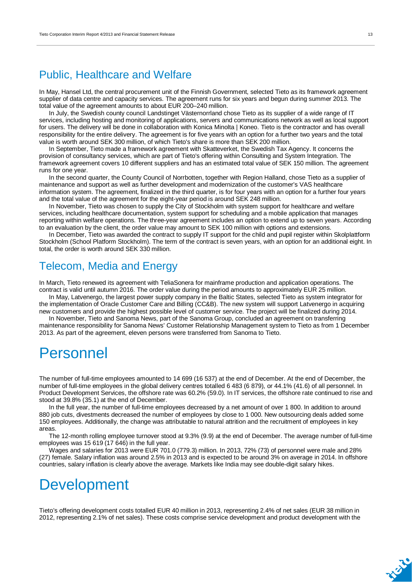### Public, Healthcare and Welfare

In May, Hansel Ltd, the central procurement unit of the Finnish Government, selected Tieto as its framework agreement supplier of data centre and capacity services. The agreement runs for six years and begun during summer 2013. The total value of the agreement amounts to about EUR 200–240 million.

In July, the Swedish county council Landstinget Västernorrland chose Tieto as its supplier of a wide range of IT services, including hosting and monitoring of applications, servers and communications network as well as local support for users. The delivery will be done in collaboration with Konica Minolta | Koneo. Tieto is the contractor and has overall responsibility for the entire delivery. The agreement is for five years with an option for a further two years and the total value is worth around SEK 300 million, of which Tieto's share is more than SEK 200 million.

In September, Tieto made a framework agreement with Skatteverket, the Swedish Tax Agency. It concerns the provision of consultancy services, which are part of Tieto's offering within Consulting and System Integration. The framework agreement covers 10 different suppliers and has an estimated total value of SEK 150 million. The agreement runs for one year.

In the second quarter, the County Council of Norrbotten, together with Region Halland, chose Tieto as a supplier of maintenance and support as well as further development and modernization of the customer's VAS healthcare information system. The agreement, finalized in the third quarter, is for four years with an option for a further four years and the total value of the agreement for the eight-year period is around SEK 248 million.

In November, Tieto was chosen to supply the City of Stockholm with system support for healthcare and welfare services, including healthcare documentation, system support for scheduling and a mobile application that manages reporting within welfare operations. The three-year agreement includes an option to extend up to seven years. According to an evaluation by the client, the order value may amount to SEK 100 million with options and extensions.

In December, Tieto was awarded the contract to supply IT support for the child and pupil register within Skolplattform Stockholm (School Platform Stockholm). The term of the contract is seven years, with an option for an additional eight. In total, the order is worth around SEK 330 million.

### Telecom, Media and Energy

In March, Tieto renewed its agreement with TeliaSonera for mainframe production and application operations. The contract is valid until autumn 2016. The order value during the period amounts to approximately EUR 25 million.

In May, Latvenergo, the largest power supply company in the Baltic States, selected Tieto as system integrator for the implementation of Oracle Customer Care and Billing (CC&B). The new system will support Latvenergo in acquiring new customers and provide the highest possible level of customer service. The project will be finalized during 2014.

In November, Tieto and Sanoma News, part of the Sanoma Group, concluded an agreement on transferring maintenance responsibility for Sanoma News' Customer Relationship Management system to Tieto as from 1 December 2013. As part of the agreement, eleven persons were transferred from Sanoma to Tieto.

### Personnel

The number of full-time employees amounted to 14 699 (16 537) at the end of December. At the end of December, the number of full-time employees in the global delivery centres totalled 6 483 (6 879), or 44.1% (41.6) of all personnel. In Product Development Services, the offshore rate was 60.2% (59.0). In IT services, the offshore rate continued to rise and stood at 39.8% (35.1) at the end of December.

In the full year, the number of full-time employees decreased by a net amount of over 1 800. In addition to around 880 job cuts, divestments decreased the number of employees by close to 1 000. New outsourcing deals added some 150 employees. Additionally, the change was attributable to natural attrition and the recruitment of employees in key areas.

The 12-month rolling employee turnover stood at 9.3% (9.9) at the end of December. The average number of full-time employees was 15 619 (17 646) in the full year.

Wages and salaries for 2013 were EUR 701.0 (779.3) million. In 2013, 72% (73) of personnel were male and 28% (27) female. Salary inflation was around 2.5% in 2013 and is expected to be around 3% on average in 2014. In offshore countries, salary inflation is clearly above the average. Markets like India may see double-digit salary hikes.

## Development

Tieto's offering development costs totalled EUR 40 million in 2013, representing 2.4% of net sales (EUR 38 million in 2012, representing 2.1% of net sales). These costs comprise service development and product development with the

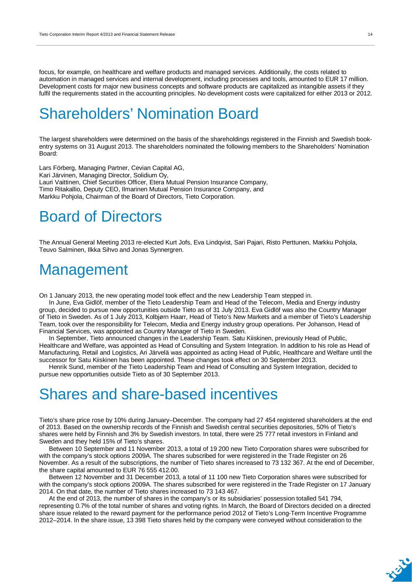focus, for example, on healthcare and welfare products and managed services. Additionally, the costs related to automation in managed services and internal development, including processes and tools, amounted to EUR 17 million. Development costs for major new business concepts and software products are capitalized as intangible assets if they fulfil the requirements stated in the accounting principles. No development costs were capitalized for either 2013 or 2012.

## Shareholders' Nomination Board

The largest shareholders were determined on the basis of the shareholdings registered in the Finnish and Swedish bookentry systems on 31 August 2013. The shareholders nominated the following members to the Shareholders' Nomination Board:

Lars Förberg, Managing Partner, Cevian Capital AG, Kari Järvinen, Managing Director, Solidium Oy, Lauri Vaittinen, Chief Securities Officer, Etera Mutual Pension Insurance Company, Timo Ritakallio, Deputy CEO, Ilmarinen Mutual Pension Insurance Company, and Markku Pohjola, Chairman of the Board of Directors, Tieto Corporation.

## Board of Directors

The Annual General Meeting 2013 re-elected Kurt Jofs, Eva Lindqvist, Sari Pajari, Risto Perttunen, Markku Pohjola, Teuvo Salminen, Ilkka Sihvo and Jonas Synnergren.

### **Management**

On 1 January 2013, the new operating model took effect and the new Leadership Team stepped in.

In June, Eva Gidlöf, member of the Tieto Leadership Team and Head of the Telecom, Media and Energy industry group, decided to pursue new opportunities outside Tieto as of 31 July 2013. Eva Gidlöf was also the Country Manager of Tieto in Sweden. As of 1 July 2013, Kolbjørn Haarr, Head of Tieto's New Markets and a member of Tieto's Leadership Team, took over the responsibility for Telecom, Media and Energy industry group operations. Per Johanson, Head of Financial Services, was appointed as Country Manager of Tieto in Sweden.

In September, Tieto announced changes in the Leadership Team. Satu Kiiskinen, previously Head of Public, Healthcare and Welfare, was appointed as Head of Consulting and System Integration. In addition to his role as Head of Manufacturing, Retail and Logistics, Ari Järvelä was appointed as acting Head of Public, Healthcare and Welfare until the successor for Satu Kiiskinen has been appointed. These changes took effect on 30 September 2013.

Henrik Sund, member of the Tieto Leadership Team and Head of Consulting and System Integration, decided to pursue new opportunities outside Tieto as of 30 September 2013.

### Shares and share-based incentives

Tieto's share price rose by 10% during January–December. The company had 27 454 registered shareholders at the end of 2013. Based on the ownership records of the Finnish and Swedish central securities depositories, 50% of Tieto's shares were held by Finnish and 3% by Swedish investors. In total, there were 25 777 retail investors in Finland and Sweden and they held 15% of Tieto's shares.

Between 10 September and 11 November 2013, a total of 19 200 new Tieto Corporation shares were subscribed for with the company's stock options 2009A. The shares subscribed for were registered in the Trade Register on 26 November. As a result of the subscriptions, the number of Tieto shares increased to 73 132 367. At the end of December, the share capital amounted to EUR 76 555 412.00.

Between 12 November and 31 December 2013, a total of 11 100 new Tieto Corporation shares were subscribed for with the company's stock options 2009A. The shares subscribed for were registered in the Trade Register on 17 January 2014. On that date, the number of Tieto shares increased to 73 143 467.

At the end of 2013, the number of shares in the company's or its subsidiaries' possession totalled 541 794, representing 0.7% of the total number of shares and voting rights. In March, the Board of Directors decided on a directed share issue related to the reward payment for the performance period 2012 of Tieto's Long-Term Incentive Programme 2012–2014. In the share issue, 13 398 Tieto shares held by the company were conveyed without consideration to the

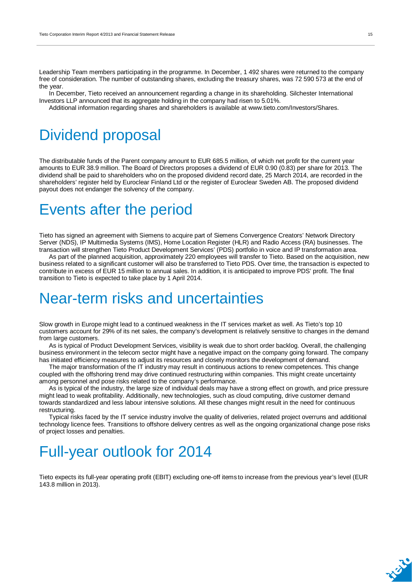Leadership Team members participating in the programme. In December, 1 492 shares were returned to the company free of consideration. The number of outstanding shares, excluding the treasury shares, was 72 590 573 at the end of the year.

In December, Tieto received an announcement regarding a change in its shareholding. Silchester International Investors LLP announced that its aggregate holding in the company had risen to 5.01%.

Additional information regarding shares and shareholders is available at [www.tieto.com/Investors/Shares.](http://www.tieto.com/Investors/Shares)

## Dividend proposal

The distributable funds of the Parent company amount to EUR 685.5 million, of which net profit for the current year amounts to EUR 38.9 million. The Board of Directors proposes a dividend of EUR 0.90 (0.83) per share for 2013. The dividend shall be paid to shareholders who on the proposed dividend record date, 25 March 2014, are recorded in the shareholders' register held by Euroclear Finland Ltd or the register of Euroclear Sweden AB. The proposed dividend payout does not endanger the solvency of the company.

## Events after the period

Tieto has signed an agreement with Siemens to acquire part of Siemens Convergence Creators' Network Directory Server (NDS), IP Multimedia Systems (IMS), Home Location Register (HLR) and Radio Access (RA) businesses. The transaction will strengthen Tieto Product Development Services' (PDS) portfolio in voice and IP transformation area.

As part of the planned acquisition, approximately 220 employees will transfer to Tieto. Based on the acquisition, new business related to a significant customer will also be transferred to Tieto PDS. Over time, the transaction is expected to contribute in excess of EUR 15 million to annual sales. In addition, it is anticipated to improve PDS' profit. The final transition to Tieto is expected to take place by 1 April 2014.

### Near-term risks and uncertainties

Slow growth in Europe might lead to a continued weakness in the IT services market as well. As Tieto's top 10 customers account for 29% of its net sales, the company's development is relatively sensitive to changes in the demand from large customers.

As is typical of Product Development Services, visibility is weak due to short order backlog. Overall, the challenging business environment in the telecom sector might have a negative impact on the company going forward. The company has initiated efficiency measures to adjust its resources and closely monitors the development of demand.

The major transformation of the IT industry may result in continuous actions to renew competences. This change coupled with the offshoring trend may drive continued restructuring within companies. This might create uncertainty among personnel and pose risks related to the company's performance.

As is typical of the industry, the large size of individual deals may have a strong effect on growth, and price pressure might lead to weak profitability. Additionally, new technologies, such as cloud computing, drive customer demand towards standardized and less labour intensive solutions. All these changes might result in the need for continuous restructuring.

Typical risks faced by the IT service industry involve the quality of deliveries, related project overruns and additional technology licence fees. Transitions to offshore delivery centres as well as the ongoing organizational change pose risks of project losses and penalties.

## Full-year outlook for 2014

Tieto expects its full-year operating profit (EBIT) excluding one-off items to increase from the previous year's level (EUR 143.8 million in 2013).

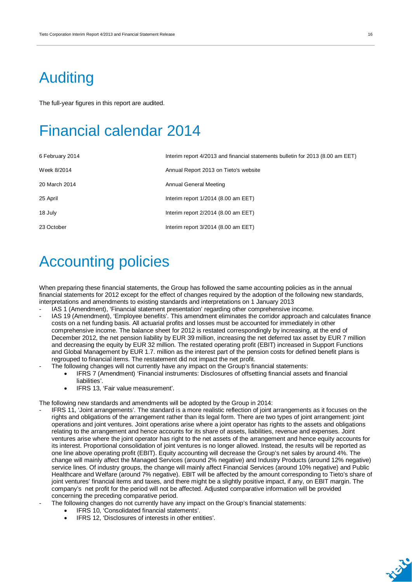## Auditing

The full-year figures in this report are audited.

## Financial calendar 2014

| 6 February 2014 | Interim report 4/2013 and financial statements bulletin for 2013 (8.00 am EET) |
|-----------------|--------------------------------------------------------------------------------|
| Week 8/2014     | Annual Report 2013 on Tieto's website                                          |
| 20 March 2014   | Annual General Meeting                                                         |
| 25 April        | Interim report $1/2014$ (8.00 am EET)                                          |
| 18 July         | Interim report $2/2014$ (8.00 am EET)                                          |
| 23 October      | Interim report $3/2014$ (8.00 am EET)                                          |

## Accounting policies

When preparing these financial statements, the Group has followed the same accounting policies as in the annual financial statements for 2012 except for the effect of changes required by the adoption of the following new standards, interpretations and amendments to existing standards and interpretations on 1 January 2013

- IAS 1 (Amendment), 'Financial statement presentation' regarding other comprehensive income. - IAS 19 (Amendment), 'Employee benefits'. This amendment eliminates the corridor approach and calculates finance costs on a net funding basis. All actuarial profits and losses must be accounted for immediately in other comprehensive income. The balance sheet for 2012 is restated correspondingly by increasing, at the end of December 2012, the net pension liability by EUR 39 million, increasing the net deferred tax asset by EUR 7 million and decreasing the equity by EUR 32 million. The restated operating profit (EBIT) increased in Support Functions and Global Management by EUR 1.7. million as the interest part of the pension costs for defined benefit plans is regrouped to financial items. The restatement did not impact the net profit.
- The following changes will not currently have any impact on the Group's financial statements:
	- IFRS 7 (Amendment) 'Financial instruments: Disclosures of offsetting financial assets and financial liabilities'.
	- IFRS 13, 'Fair value measurement'.

The following new standards and amendments will be adopted by the Group in 2014:

- IFRS 11, 'Joint arrangements'. The standard is a more realistic reflection of joint arrangements as it focuses on the rights and obligations of the arrangement rather than its legal form. There are two types of joint arrangement: joint operations and joint ventures. Joint operations arise where a joint operator has rights to the assets and obligations relating to the arrangement and hence accounts for its share of assets, liabilities, revenue and expenses. Joint ventures arise where the joint operator has right to the net assets of the arrangement and hence equity accounts for its interest. Proportional consolidation of joint ventures is no longer allowed. Instead, the results will be reported as one line above operating profit (EBIT). Equity accounting will decrease the Group's net sales by around 4%. The change will mainly affect the Managed Services (around 2% negative) and Industry Products (around 12% negative) service lines. Of industry groups, the change will mainly affect Financial Services (around 10% negative) and Public Healthcare and Welfare (around 7% negative). EBIT will be affected by the amount corresponding to Tieto's share of joint ventures' financial items and taxes, and there might be a slightly positive impact, if any, on EBIT margin. The company's net profit for the period will not be affected. Adjusted comparative information will be provided concerning the preceding comparative period.
- The following changes do not currently have any impact on the Group's financial statements:
	- IFRS 10, 'Consolidated financial statements'.
	- IFRS 12, 'Disclosures of interests in other entities'.

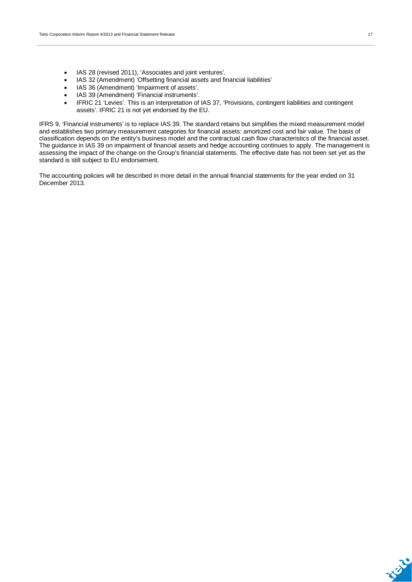- IAS 28 (revised 2011), 'Associates and joint ventures'.
- x IAS 32 (Amendment) 'Offsetting financial assets and financial liabilities'
- IAS 36 (Amendment) 'Impairment of assets'.
- IAS 39 (Amendment) 'Financial instruments'.
- IFRIC 21 'Levies'. This is an interpretation of IAS 37, 'Provisions, contingent liabilities and contingent assets'. IFRIC 21 is not yet endorsed by the EU.

IFRS 9, 'Financial instruments' is to replace IAS 39. The standard retains but simplifies the mixed measurement model and establishes two primary measurement categories for financial assets: amortized cost and fair value. The basis of classification depends on the entity's business model and the contractual cash flow characteristics of the financial asset. The guidance in IAS 39 on impairment of financial assets and hedge accounting continues to apply. The management is assessing the impact of the change on the Group's financial statements. The effective date has not been set yet as the standard is still subject to EU endorsement.

The accounting policies will be described in more detail in the annual financial statements for the year ended on 31 December 2013.

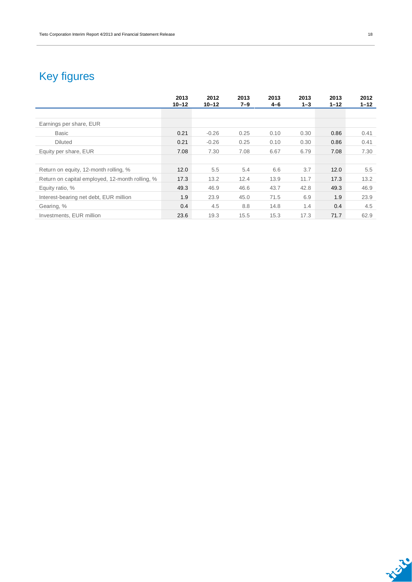## Key figures

|                                                 | 2013<br>$10 - 12$ | 2012<br>$10 - 12$ | 2013<br>$7 - 9$ | 2013<br>4-6 | 2013<br>$1 - 3$ | 2013<br>$1 - 12$ | 2012<br>$1 - 12$ |
|-------------------------------------------------|-------------------|-------------------|-----------------|-------------|-----------------|------------------|------------------|
|                                                 |                   |                   |                 |             |                 |                  |                  |
| Earnings per share, EUR                         |                   |                   |                 |             |                 |                  |                  |
| <b>Basic</b>                                    | 0.21              | $-0.26$           | 0.25            | 0.10        | 0.30            | 0.86             | 0.41             |
| <b>Diluted</b>                                  | 0.21              | $-0.26$           | 0.25            | 0.10        | 0.30            | 0.86             | 0.41             |
| Equity per share, EUR                           | 7.08              | 7.30              | 7.08            | 6.67        | 6.79            | 7.08             | 7.30             |
|                                                 |                   |                   |                 |             |                 |                  |                  |
| Return on equity, 12-month rolling, %           | 12.0              | 5.5               | 5.4             | 6.6         | 3.7             | 12.0             | 5.5              |
| Return on capital employed, 12-month rolling, % | 17.3              | 13.2              | 12.4            | 13.9        | 11.7            | 17.3             | 13.2             |
| Equity ratio, %                                 | 49.3              | 46.9              | 46.6            | 43.7        | 42.8            | 49.3             | 46.9             |
| Interest-bearing net debt, EUR million          | 1.9               | 23.9              | 45.0            | 71.5        | 6.9             | 1.9              | 23.9             |
| Gearing, %                                      | 0.4               | 4.5               | 8.8             | 14.8        | 1.4             | 0.4              | 4.5              |
| Investments, EUR million                        | 23.6              | 19.3              | 15.5            | 15.3        | 17.3            | 71.7             | 62.9             |

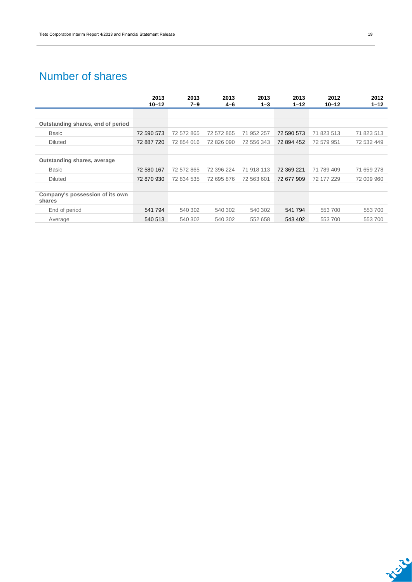### Number of shares

|                                           | 2013       | 2013       | 2013       | 2013       | 2013       | 2012       | 2012       |
|-------------------------------------------|------------|------------|------------|------------|------------|------------|------------|
|                                           | $10 - 12$  | $7 - 9$    | 4-6        | $1 - 3$    | $1 - 12$   | 10-12      | $1 - 12$   |
|                                           |            |            |            |            |            |            |            |
| Outstanding shares, end of period         |            |            |            |            |            |            |            |
| <b>Basic</b>                              | 72 590 573 | 72 572 865 | 72 572 865 | 71 952 257 | 72 590 573 | 71 823 513 | 71 823 513 |
| <b>Diluted</b>                            | 72 887 720 | 72 854 016 | 72 826 090 | 72 556 343 | 72 894 452 | 72 579 951 | 72 532 449 |
|                                           |            |            |            |            |            |            |            |
| Outstanding shares, average               |            |            |            |            |            |            |            |
| <b>Basic</b>                              | 72 580 167 | 72 572 865 | 72 396 224 | 71 918 113 | 72 369 221 | 71 789 409 | 71 659 278 |
| <b>Diluted</b>                            | 72 870 930 | 72 834 535 | 72 695 876 | 72 563 601 | 72 677 909 | 72 177 229 | 72 009 960 |
|                                           |            |            |            |            |            |            |            |
| Company's possession of its own<br>shares |            |            |            |            |            |            |            |
| End of period                             | 541794     | 540 302    | 540 302    | 540 302    | 541 794    | 553 700    | 553 700    |
| Average                                   | 540 513    | 540 302    | 540 302    | 552 658    | 543 402    | 553 700    | 553 700    |

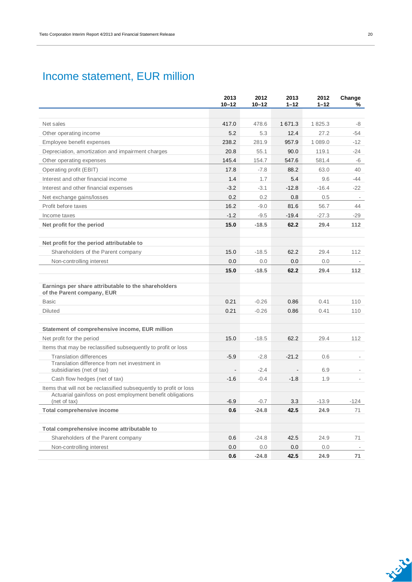## Income statement, EUR million

|                                                                                                                                  | 2013<br>$10 - 12$ | 2012<br>$10 - 12$ | 2013<br>$1 - 12$ | 2012<br>$1 - 12$ | Change<br>%              |
|----------------------------------------------------------------------------------------------------------------------------------|-------------------|-------------------|------------------|------------------|--------------------------|
|                                                                                                                                  |                   |                   |                  |                  |                          |
| Net sales                                                                                                                        | 417.0             | 478.6             | 1 671.3          | 1825.3           | -8                       |
| Other operating income                                                                                                           | 5.2               | 5.3               | 12.4             | 27.2             | $-54$                    |
| Employee benefit expenses                                                                                                        | 238.2             | 281.9             | 957.9            | 1 089.0          | -12                      |
| Depreciation, amortization and impairment charges                                                                                | 20.8              | 55.1              | 90.0             | 119.1            | $-24$                    |
| Other operating expenses                                                                                                         | 145.4             | 154.7             | 547.6            | 581.4            | -6                       |
| Operating profit (EBIT)                                                                                                          | 17.8              | $-7.8$            | 88.2             | 63.0             | 40                       |
| Interest and other financial income                                                                                              | 1.4               | 1.7               | 5.4              | 9.6              | $-44$                    |
| Interest and other financial expenses                                                                                            | $-3.2$            | $-3.1$            | $-12.8$          | $-16.4$          | $-22$                    |
| Net exchange gains/losses                                                                                                        | 0.2               | 0.2               | 0.8              | 0.5              |                          |
| Profit before taxes                                                                                                              | 16.2              | $-9.0$            | 81.6             | 56.7             | 44                       |
| Income taxes                                                                                                                     | $-1.2$            | $-9.5$            | $-19.4$          | $-27.3$          | -29                      |
| Net profit for the period                                                                                                        | 15.0              | $-18.5$           | 62.2             | 29.4             | 112                      |
| Net profit for the period attributable to                                                                                        |                   |                   |                  |                  |                          |
| Shareholders of the Parent company                                                                                               | 15.0              | $-18.5$           | 62.2             | 29.4             | 112                      |
| Non-controlling interest                                                                                                         | 0.0               | 0.0               | 0.0              | 0.0              |                          |
|                                                                                                                                  | 15.0              | $-18.5$           | 62.2             | 29.4             | 112                      |
| Earnings per share attributable to the shareholders<br>of the Parent company, EUR                                                |                   |                   |                  |                  |                          |
| <b>Basic</b>                                                                                                                     | 0.21              | $-0.26$           | 0.86             | 0.41             | 110                      |
| <b>Diluted</b>                                                                                                                   | 0.21              | $-0.26$           | 0.86             | 0.41             | 110                      |
| Statement of comprehensive income, EUR million                                                                                   |                   |                   |                  |                  |                          |
| Net profit for the period                                                                                                        | 15.0              | $-18.5$           | 62.2             | 29.4             | 112                      |
| Items that may be reclassified subsequently to profit or loss                                                                    |                   |                   |                  |                  |                          |
| <b>Translation differences</b><br>Translation difference from net investment in<br>subsidiaries (net of tax)                     | $-5.9$            | $-2.8$<br>$-2.4$  | $-21.2$          | 0.6<br>6.9       | $\overline{\phantom{a}}$ |
| Cash flow hedges (net of tax)                                                                                                    | $-1.6$            | $-0.4$            | $-1.8$           | 1.9              |                          |
| Items that will not be reclassified subsequently to profit or loss<br>Actuarial gain/loss on post employment benefit obligations |                   |                   |                  |                  |                          |
| (net of tax)                                                                                                                     | $-6.9$            | $-0.7$            | 3.3              | $-13.9$          | -124                     |
| <b>Total comprehensive income</b>                                                                                                | 0.6               | $-24.8$           | 42.5             | 24.9             | 71                       |
| Total comprehensive income attributable to                                                                                       |                   |                   |                  |                  |                          |
| Shareholders of the Parent company                                                                                               | 0.6               | $-24.8$           | 42.5             | 24.9             | 71                       |
| Non-controlling interest                                                                                                         | 0.0               | $0.0\,$           | 0.0              | 0.0              |                          |
|                                                                                                                                  | 0.6               | $-24.8$           | 42.5             | 24.9             | 71                       |

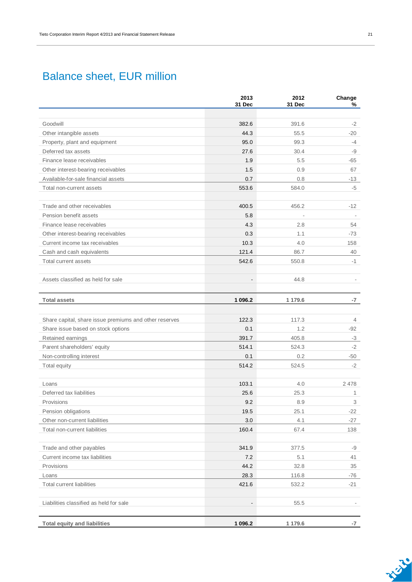### Balance sheet, EUR million

|                                                        | 2013<br>31 Dec           | 2012<br>31 Dec | Change<br>%    |
|--------------------------------------------------------|--------------------------|----------------|----------------|
|                                                        |                          |                |                |
| Goodwill                                               | 382.6                    | 391.6          | $-2$           |
| Other intangible assets                                | 44.3                     | 55.5           | $-20$          |
| Property, plant and equipment                          | 95.0                     | 99.3           | $-4$           |
| Deferred tax assets                                    | 27.6                     | 30.4           | -9             |
| Finance lease receivables                              | 1.9                      | 5.5            | -65            |
| Other interest-bearing receivables                     | 1.5                      | 0.9            | 67             |
| Available-for-sale financial assets                    | 0.7                      | 0.8            | -13            |
| Total non-current assets                               | 553.6                    | 584.0          | -5             |
|                                                        |                          |                |                |
| Trade and other receivables                            | 400.5                    | 456.2          | $-12$          |
| Pension benefit assets                                 | 5.8                      | J.             |                |
| Finance lease receivables                              | 4.3                      | 2.8            | 54             |
| Other interest-bearing receivables                     | 0.3                      | 1.1            | $-73$          |
| Current income tax receivables                         | 10.3                     | 4.0            | 158            |
| Cash and cash equivalents                              | 121.4                    | 86.7           | 40             |
| Total current assets                                   | 542.6                    | 550.8          | $-1$           |
|                                                        |                          |                |                |
| Assets classified as held for sale                     | $\overline{\phantom{a}}$ | 44.8           |                |
|                                                        |                          |                |                |
| <b>Total assets</b>                                    | 1 096.2                  | 1 179.6        | -7             |
|                                                        |                          |                |                |
| Share capital, share issue premiums and other reserves | 122.3                    | 117.3          | $\overline{4}$ |
| Share issue based on stock options                     | 0.1                      | 1.2            | -92            |
| Retained earnings                                      | 391.7                    | 405.8          | $-3$           |
| Parent shareholders' equity                            | 514.1                    | 524.3          | $-2$           |
| Non-controlling interest                               | 0.1                      | 0.2            | -50            |
| Total equity                                           | 514.2                    | 524.5          | $-2$           |
| Loans                                                  | 103.1                    | 4.0            | 2478           |
| Deferred tax liabilities                               | 25.6                     | 25.3           | $\mathbf{1}$   |
| Provisions                                             | 9.2                      | 8.9            | 3              |
| Pension obligations                                    | 19.5                     | 25.1           | $-22$          |
| Other non-current liabilities                          | 3.0                      | 4.1            | $-27$          |
| Total non-current liabilities                          | 160.4                    | 67.4           | 138            |
|                                                        |                          |                |                |
| Trade and other payables                               | 341.9                    | 377.5          | -9             |
| Current income tax liabilities                         | 7.2                      | 5.1            | 41             |
| Provisions                                             | 44.2                     | 32.8           | 35             |
| Loans                                                  | 28.3                     | 116.8          | -76            |
| <b>Total current liabilities</b>                       | 421.6                    | 532.2          | $-21$          |
|                                                        |                          |                |                |
| Liabilities classified as held for sale                | $\blacksquare$           | 55.5           |                |
|                                                        |                          |                |                |
| <b>Total equity and liabilities</b>                    | 1 096.2                  | 1 179.6        | -7             |

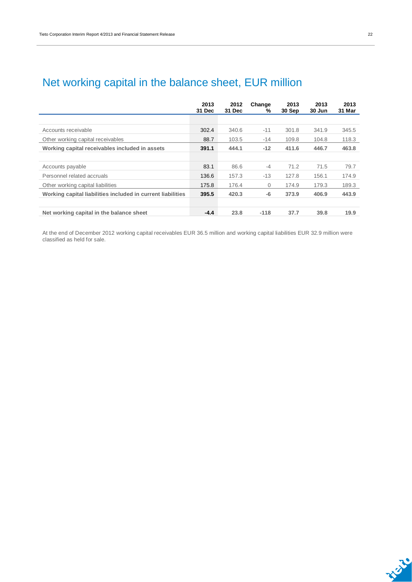| c |  |
|---|--|
|   |  |

| Net working capital in the balance sheet, EUR million |  |  |  |  |  |  |  |
|-------------------------------------------------------|--|--|--|--|--|--|--|
|-------------------------------------------------------|--|--|--|--|--|--|--|

|                                                             | 2013<br>31 Dec | 2012<br>31 Dec | Change<br>% | 2013<br>30 Sep | 2013<br>30 Jun | 2013<br>31 Mar |
|-------------------------------------------------------------|----------------|----------------|-------------|----------------|----------------|----------------|
|                                                             |                |                |             |                |                |                |
| Accounts receivable                                         | 302.4          | 340.6          | $-11$       | 301.8          | 341.9          | 345.5          |
| Other working capital receivables                           | 88.7           | 103.5          | $-14$       | 109.8          | 104.8          | 118.3          |
| Working capital receivables included in assets              | 391.1          | 444.1          | $-12$       | 411.6          | 446.7          | 463.8          |
|                                                             |                |                |             |                |                |                |
| Accounts payable                                            | 83.1           | 86.6           | $-4$        | 71.2           | 71.5           | 79.7           |
| Personnel related accruals                                  | 136.6          | 157.3          | $-13$       | 127.8          | 156.1          | 174.9          |
| Other working capital liabilities                           | 175.8          | 176.4          | $\Omega$    | 174.9          | 179.3          | 189.3          |
| Working capital liabilities included in current liabilities | 395.5          | 420.3          | -6          | 373.9          | 406.9          | 443.9          |
|                                                             |                |                |             |                |                |                |
| Net working capital in the balance sheet                    | $-4.4$         | 23.8           | $-118$      | 37.7           | 39.8           | 19.9           |

At the end of December 2012 working capital receivables EUR 36.5 million and working capital liabilities EUR 32.9 million were classified as held for sale.

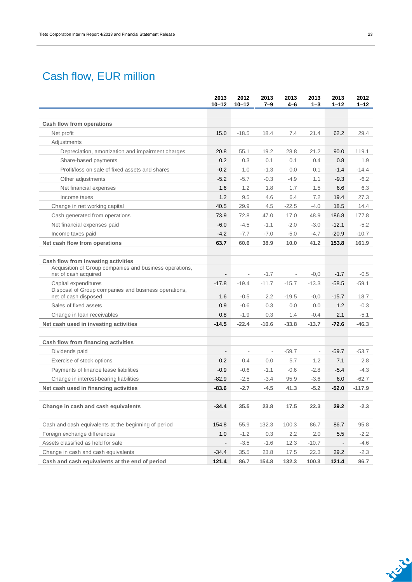## Cash flow, EUR million

|                                                                              | 2013<br>$10 - 12$        | 2012<br>$10 - 12$        | 2013<br>7–9              | 2013<br>4–6              | 2013<br>$1 - 3$          | 2013<br>$1 - 12$ | 2012<br>$1 - 12$ |
|------------------------------------------------------------------------------|--------------------------|--------------------------|--------------------------|--------------------------|--------------------------|------------------|------------------|
|                                                                              |                          |                          |                          |                          |                          |                  |                  |
| Cash flow from operations                                                    |                          |                          |                          |                          |                          |                  |                  |
| Net profit                                                                   | 15.0                     | $-18.5$                  | 18.4                     | 7.4                      | 21.4                     | 62.2             | 29.4             |
| Adjustments                                                                  |                          |                          |                          |                          |                          |                  |                  |
| Depreciation, amortization and impairment charges                            | 20.8                     | 55.1                     | 19.2                     | 28.8                     | 21.2                     | 90.0             | 119.1            |
| Share-based payments                                                         | 0.2                      | 0.3                      | 0.1                      | 0.1                      | 0.4                      | 0.8              | 1.9              |
| Profit/loss on sale of fixed assets and shares                               | $-0.2$                   | 1.0                      | $-1.3$                   | 0.0                      | 0.1                      | $-1.4$           | $-14.4$          |
| Other adjustments                                                            | $-5.2$                   | $-5.7$                   | $-0.3$                   | $-4.9$                   | 1.1                      | $-9.3$           | $-6.2$           |
| Net financial expenses                                                       | 1.6                      | 1.2                      | 1.8                      | 1.7                      | 1.5                      | 6.6              | 6.3              |
| Income taxes                                                                 | 1.2                      | 9.5                      | 4.6                      | 6.4                      | 7.2                      | 19.4             | 27.3             |
| Change in net working capital                                                | 40.5                     | 29.9                     | 4.5                      | $-22.5$                  | $-4.0$                   | 18.5             | 14.4             |
| Cash generated from operations                                               | 73.9                     | 72.8                     | 47.0                     | 17.0                     | 48.9                     | 186.8            | 177.8            |
| Net financial expenses paid                                                  | $-6.0$                   | $-4.5$                   | $-1.1$                   | $-2.0$                   | $-3.0$                   | $-12.1$          | $-5.2$           |
| Income taxes paid                                                            | $-4.2$                   | $-7.7$                   | $-7.0$                   | $-5.0$                   | $-4.7$                   | $-20.9$          | $-10.7$          |
| Net cash flow from operations                                                | 63.7                     | 60.6                     | 38.9                     | 10.0                     | 41.2                     | 153.8            | 161.9            |
| Cash flow from investing activities                                          |                          |                          |                          |                          |                          |                  |                  |
| Acquisition of Group companies and business operations,                      |                          |                          |                          |                          |                          |                  |                  |
| net of cash acquired                                                         | $\overline{\phantom{a}}$ | $\overline{\phantom{a}}$ | $-1.7$                   | $\overline{\phantom{a}}$ | $-0,0$                   | $-1.7$           | $-0.5$           |
| Capital expenditures                                                         | $-17.8$                  | $-19.4$                  | $-11.7$                  | $-15.7$                  | $-13.3$                  | $-58.5$          | $-59.1$          |
| Disposal of Group companies and business operations,<br>net of cash disposed | 1.6                      | $-0.5$                   | 2.2                      | $-19.5$                  | $-0,0$                   | $-15.7$          | 18.7             |
| Sales of fixed assets                                                        | 0.9                      | $-0.6$                   | 0.3                      | 0.0                      | 0.0                      | 1.2              | $-0.3$           |
| Change in loan receivables                                                   | 0.8                      | $-1.9$                   | 0.3                      | 1.4                      | $-0.4$                   | 2.1              | $-5.1$           |
| Net cash used in investing activities                                        | $-14.5$                  | $-22.4$                  | $-10.6$                  | $-33.8$                  | $-13.7$                  | $-72.6$          | $-46.3$          |
|                                                                              |                          |                          |                          |                          |                          |                  |                  |
| Cash flow from financing activities                                          |                          |                          |                          |                          |                          |                  |                  |
| Dividends paid                                                               | $\overline{\phantom{a}}$ | $\overline{\phantom{a}}$ | $\overline{\phantom{a}}$ | $-59.7$                  | $\overline{\phantom{a}}$ | $-59.7$          | $-53.7$          |
| Exercise of stock options                                                    | 0.2                      | 0.4                      | 0.0                      | 5.7                      | 1.2                      | 7.1              | 2.8              |
| Payments of finance lease liabilities                                        | $-0.9$                   | $-0.6$                   | $-1.1$                   | $-0.6$                   | $-2.8$                   | $-5.4$           | $-4.3$           |
| Change in interest-bearing liabilities                                       | $-82.9$                  | $-2.5$                   | $-3.4$                   | 95.9                     | $-3.6$                   | 6.0              | $-62.7$          |
| Net cash used in financing activities                                        | $-83.6$                  | $-2.7$                   | $-4.5$                   | 41.3                     | $-5.2$                   | $-52.0$          | $-117.9$         |
| Change in cash and cash equivalents                                          | $-34.4$                  | 35.5                     | 23.8                     | 17.5                     | 22.3                     | 29.2             | $-2.3$           |
|                                                                              |                          |                          |                          |                          |                          |                  |                  |
| Cash and cash equivalents at the beginning of period                         | 154.8                    | 55.9                     | 132.3                    | 100.3                    | 86.7                     | 86.7             | 95.8             |
| Foreign exchange differences                                                 | 1.0                      | $-1.2$                   | 0.3                      | 2.2                      | 2.0                      | 5.5              | $-2.2$           |
| Assets classified as held for sale                                           | $\overline{\phantom{a}}$ | $-3.5$                   | $-1.6$                   | 12.3                     | $-10.7$                  |                  | $-4.6$           |
| Change in cash and cash equivalents                                          | $-34.4$                  | 35.5                     | 23.8                     | 17.5                     | 22.3                     | 29.2             | $-2.3$           |
| Cash and cash equivalents at the end of period                               | 121.4                    | 86.7                     | 154.8                    | 132.3                    | 100.3                    | 121.4            | 86.7             |

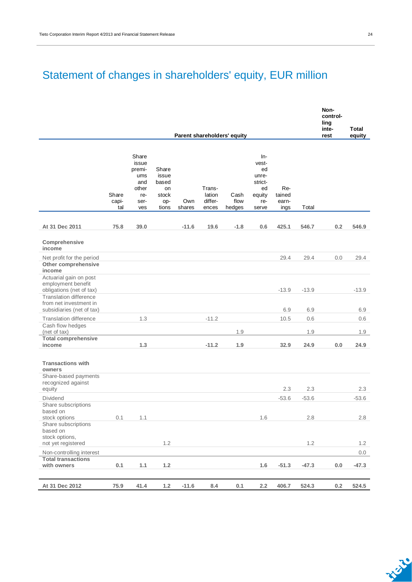## Statement of changes in shareholders' equity, EUR million

|                                                                                                    |                       |                                                                       |                                                        |               |                                      |                             |                                                                        |                                |         | Non-<br>control-<br>ling<br>inte- | Total      |
|----------------------------------------------------------------------------------------------------|-----------------------|-----------------------------------------------------------------------|--------------------------------------------------------|---------------|--------------------------------------|-----------------------------|------------------------------------------------------------------------|--------------------------------|---------|-----------------------------------|------------|
|                                                                                                    |                       |                                                                       |                                                        |               |                                      | Parent shareholders' equity |                                                                        |                                |         | rest                              | equity     |
|                                                                                                    | Share<br>capi-<br>tal | Share<br>issue<br>premi-<br>ums<br>and<br>other<br>re-<br>ser-<br>ves | Share<br>issue<br>based<br>on<br>stock<br>op-<br>tions | Own<br>shares | Trans-<br>lation<br>differ-<br>ences | Cash<br>flow<br>hedges      | In-<br>vest-<br>ed<br>unre-<br>strict-<br>ed<br>equity<br>re-<br>serve | Re-<br>tained<br>earn-<br>ings | Total   |                                   |            |
| At 31 Dec 2011                                                                                     | 75.8                  | 39.0                                                                  |                                                        | $-11.6$       | 19.6                                 | $-1.8$                      | 0.6                                                                    | 425.1                          | 546.7   | 0.2                               | 546.9      |
| Comprehensive<br>income                                                                            |                       |                                                                       |                                                        |               |                                      |                             |                                                                        |                                |         |                                   |            |
| Net profit for the period<br>Other comprehensive<br>income                                         |                       |                                                                       |                                                        |               |                                      |                             |                                                                        | 29.4                           | 29.4    | 0.0                               | 29.4       |
| Actuarial gain on post<br>employment benefit<br>obligations (net of tax)<br>Translation difference |                       |                                                                       |                                                        |               |                                      |                             |                                                                        | $-13.9$                        | $-13.9$ |                                   | $-13.9$    |
| from net investment in<br>subsidiaries (net of tax)                                                |                       |                                                                       |                                                        |               |                                      |                             |                                                                        | 6.9                            | 6.9     |                                   | 6.9        |
| <b>Translation difference</b>                                                                      |                       | 1.3                                                                   |                                                        |               | $-11.2$                              |                             |                                                                        | 10.5                           | 0.6     |                                   | 0.6        |
| Cash flow hedges<br>(net of tax)                                                                   |                       |                                                                       |                                                        |               |                                      | 1.9                         |                                                                        |                                | 1.9     |                                   | 1.9        |
| <b>Total comprehensive</b><br>income                                                               |                       | 1.3                                                                   |                                                        |               | $-11.2$                              | 1.9                         |                                                                        | 32.9                           | 24.9    | 0.0                               | 24.9       |
| <b>Transactions with</b><br>owners<br>Share-based payments<br>recognized against                   |                       |                                                                       |                                                        |               |                                      |                             |                                                                        |                                |         |                                   |            |
| equity                                                                                             |                       |                                                                       |                                                        |               |                                      |                             |                                                                        | 2.3                            | 2.3     |                                   | 2.3        |
| <b>Dividend</b><br>Share subscriptions<br>based on                                                 |                       |                                                                       |                                                        |               |                                      |                             |                                                                        | $-53.6$                        | $-53.6$ |                                   | $-53.6$    |
| stock options<br>Share subscriptions<br>based on<br>stock options,                                 | 0.1                   | 1.1                                                                   |                                                        |               |                                      |                             | 1.6                                                                    |                                | 2.8     |                                   | 2.8        |
| not yet registered<br>Non-controlling interest                                                     |                       |                                                                       | 1.2                                                    |               |                                      |                             |                                                                        |                                | 1.2     |                                   | 1.2<br>0.0 |
| <b>Total transactions</b><br>with owners                                                           | 0.1                   | 1.1                                                                   | $1.2$                                                  |               |                                      |                             | 1.6                                                                    | $-51.3$                        | $-47.3$ | $0.0\,$                           | $-47.3$    |
| At 31 Dec 2012                                                                                     | 75.9                  | 41.4                                                                  | $1.2$                                                  | $-11.6$       | $\bf 8.4$                            | 0.1                         | $2.2\,$                                                                | 406.7                          | 524.3   | $0.2\,$                           | 524.5      |

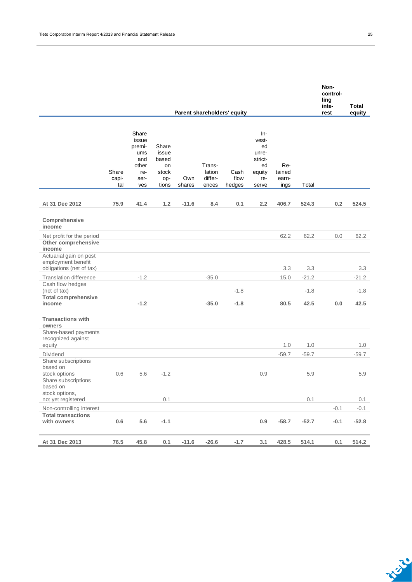| Parent shareholders' equity                                              |                       |                                                                       |                                                        |               |                                      |                        |                                                                          |                                |         |        |         |
|--------------------------------------------------------------------------|-----------------------|-----------------------------------------------------------------------|--------------------------------------------------------|---------------|--------------------------------------|------------------------|--------------------------------------------------------------------------|--------------------------------|---------|--------|---------|
|                                                                          | Share<br>capi-<br>tal | Share<br>issue<br>premi-<br>ums<br>and<br>other<br>re-<br>ser-<br>ves | Share<br>issue<br>based<br>on<br>stock<br>op-<br>tions | Own<br>shares | Trans-<br>lation<br>differ-<br>ences | Cash<br>flow<br>hedges | $In-$<br>vest-<br>ed<br>unre-<br>strict-<br>ed<br>equity<br>re-<br>serve | Re-<br>tained<br>earn-<br>ings | Total   |        |         |
| At 31 Dec 2012                                                           | 75.9                  | 41.4                                                                  | 1.2                                                    | $-11.6$       | 8.4                                  | 0.1                    | 2.2                                                                      | 406.7                          | 524.3   | 0.2    | 524.5   |
| Comprehensive<br>income                                                  |                       |                                                                       |                                                        |               |                                      |                        |                                                                          |                                |         |        |         |
| Net profit for the period<br>Other comprehensive<br>income               |                       |                                                                       |                                                        |               |                                      |                        |                                                                          | 62.2                           | 62.2    | 0.0    | 62.2    |
| Actuarial gain on post<br>employment benefit<br>obligations (net of tax) |                       |                                                                       |                                                        |               |                                      |                        |                                                                          | 3.3                            | 3.3     |        | 3.3     |
| <b>Translation difference</b>                                            |                       | $-1.2$                                                                |                                                        |               | $-35.0$                              |                        |                                                                          | 15.0                           | $-21.2$ |        | $-21.2$ |
| Cash flow hedges<br>(net of tax)                                         |                       |                                                                       |                                                        |               |                                      | $-1.8$                 |                                                                          |                                | $-1.8$  |        | $-1.8$  |
| <b>Total comprehensive</b><br>income                                     |                       | $-1.2$                                                                |                                                        |               | $-35.0$                              | $-1.8$                 |                                                                          | 80.5                           | 42.5    | 0.0    | 42.5    |
| <b>Transactions with</b><br>owners<br>Share-based payments               |                       |                                                                       |                                                        |               |                                      |                        |                                                                          |                                |         |        |         |
| recognized against<br>equity                                             |                       |                                                                       |                                                        |               |                                      |                        |                                                                          | 1.0                            | 1.0     |        | 1.0     |
| <b>Dividend</b><br>Share subscriptions<br>based on                       |                       |                                                                       |                                                        |               |                                      |                        |                                                                          | $-59.7$                        | $-59.7$ |        | $-59.7$ |
| stock options<br>Share subscriptions<br>based on<br>stock options,       | 0.6                   | 5.6                                                                   | $-1.2$                                                 |               |                                      |                        | 0.9                                                                      |                                | 5.9     |        | 5.9     |
| not yet registered                                                       |                       |                                                                       | 0.1                                                    |               |                                      |                        |                                                                          |                                | 0.1     |        | 0.1     |
| Non-controlling interest<br><b>Total transactions</b>                    |                       |                                                                       |                                                        |               |                                      |                        |                                                                          |                                |         | $-0.1$ | $-0.1$  |
| with owners                                                              | 0.6                   | 5.6                                                                   | $-1.1$                                                 |               |                                      |                        | 0.9                                                                      | $-58.7$                        | $-52.7$ | $-0.1$ | $-52.8$ |
| At 31 Dec 2013                                                           | 76.5                  | 45.8                                                                  | 0.1                                                    | $-11.6$       | $-26.6$                              | $-1.7$                 | 3.1                                                                      | 428.5                          | 514.1   | 0.1    | 514.2   |

**Non-**

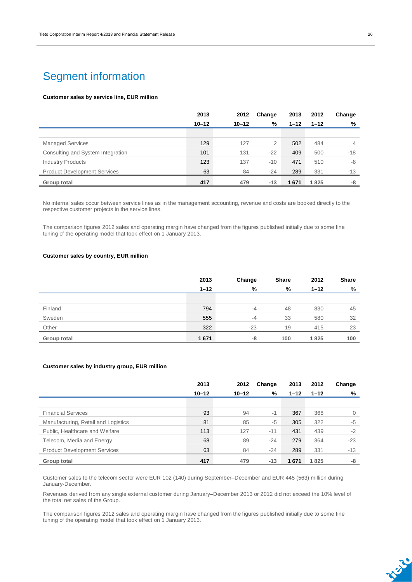### Segment information

#### **Customer sales by service line, EUR million**

|                                     | 2013      | 2012      | Change | 2013     | 2012     | Change |
|-------------------------------------|-----------|-----------|--------|----------|----------|--------|
|                                     | $10 - 12$ | $10 - 12$ | %      | $1 - 12$ | $1 - 12$ | %      |
|                                     |           |           |        |          |          |        |
| <b>Managed Services</b>             | 129       | 127       | 2      | 502      | 484      | 4      |
| Consulting and System Integration   | 101       | 131       | $-22$  | 409      | 500      | $-18$  |
| <b>Industry Products</b>            | 123       | 137       | $-10$  | 471      | 510      | -8     |
| <b>Product Development Services</b> | 63        | 84        | $-24$  | 289      | 331      | -13    |
| Group total                         | 417       | 479       | $-13$  | 1671     | 1825     | -8     |

No internal sales occur between service lines as in the management accounting, revenue and costs are booked directly to the respective customer projects in the service lines.

The comparison figures 2012 sales and operating margin have changed from the figures published initially due to some fine tuning of the operating model that took effect on 1 January 2013.

#### **Customer sales by country, EUR million**

|             | 2013     | Change | <b>Share</b> | 2012     | <b>Share</b> |
|-------------|----------|--------|--------------|----------|--------------|
|             | $1 - 12$ | %      | %            | $1 - 12$ | %            |
|             |          |        |              |          |              |
| Finland     | 794      | $-4$   | 48           | 830      | 45           |
| Sweden      | 555      | $-4$   | 33           | 580      | 32           |
| Other       | 322      | $-23$  | 19           | 415      | 23           |
| Group total | 1671     | -8     | 100          | 1825     | 100          |

#### **Customer sales by industry group, EUR million**

|                                     | 2013      | 2012      | Change | 2013     | 2012     | Change   |
|-------------------------------------|-----------|-----------|--------|----------|----------|----------|
|                                     | $10 - 12$ | $10 - 12$ | %      | $1 - 12$ | $1 - 12$ | %        |
|                                     |           |           |        |          |          |          |
| <b>Financial Services</b>           | 93        | 94        | $-1$   | 367      | 368      | $\Omega$ |
| Manufacturing, Retail and Logistics | 81        | 85        | $-5$   | 305      | 322      | $-5$     |
| Public, Healthcare and Welfare      | 113       | 127       | $-11$  | 431      | 439      | $-2$     |
| Telecom, Media and Energy           | 68        | 89        | $-24$  | 279      | 364      | $-23$    |
| <b>Product Development Services</b> | 63        | 84        | $-24$  | 289      | 331      | $-13$    |
| Group total                         | 417       | 479       | $-13$  | 1671     | 1825     | -8       |

Customer sales to the telecom sector were EUR 102 (140) during September–December and EUR 445 (563) million during January-December.

Revenues derived from any single external customer during January–December 2013 or 2012 did not exceed the 10% level of the total net sales of the Group.

The comparison figures 2012 sales and operating margin have changed from the figures published initially due to some fine tuning of the operating model that took effect on 1 January 2013.

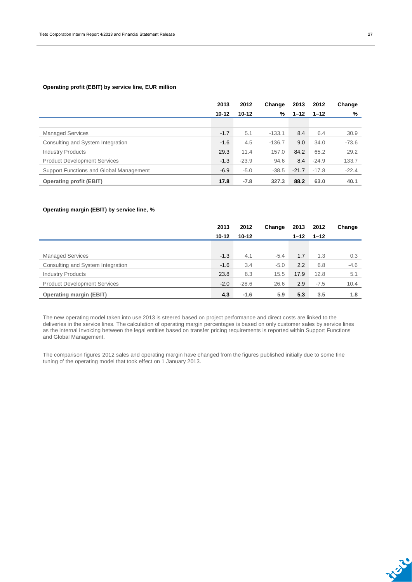#### **Operating profit (EBIT) by service line, EUR million**

|                                         | 2013      | 2012      | Change   | 2013     | 2012     | Change  |
|-----------------------------------------|-----------|-----------|----------|----------|----------|---------|
|                                         | $10 - 12$ | $10 - 12$ | %        | $1 - 12$ | $1 - 12$ | %       |
|                                         |           |           |          |          |          |         |
| <b>Managed Services</b>                 | $-1.7$    | 5.1       | $-133.1$ | 8.4      | 6.4      | 30.9    |
| Consulting and System Integration       | $-1.6$    | 4.5       | $-136.7$ | 9.0      | 34.0     | $-73.6$ |
| <b>Industry Products</b>                | 29.3      | 11.4      | 157.0    | 84.2     | 65.2     | 29.2    |
| <b>Product Development Services</b>     | $-1.3$    | $-23.9$   | 94.6     | 8.4      | $-24.9$  | 133.7   |
| Support Functions and Global Management | $-6.9$    | $-5.0$    | $-38.5$  | $-21.7$  | $-17.8$  | $-22.4$ |
| <b>Operating profit (EBIT)</b>          | 17.8      | $-7.8$    | 327.3    | 88.2     | 63.0     | 40.1    |

#### **Operating margin (EBIT) by service line, %**

|                                     | 2013      | 2012      | Change | 2013     | 2012     | Change |
|-------------------------------------|-----------|-----------|--------|----------|----------|--------|
|                                     | $10 - 12$ | $10 - 12$ |        | $1 - 12$ | $1 - 12$ |        |
|                                     |           |           |        |          |          |        |
| <b>Managed Services</b>             | $-1.3$    | 4.1       | $-5.4$ | 1.7      | 1.3      | 0.3    |
| Consulting and System Integration   | $-1.6$    | 3.4       | $-5.0$ | 2.2      | 6.8      | $-4.6$ |
| <b>Industry Products</b>            | 23.8      | 8.3       | 15.5   | 17.9     | 12.8     | 5.1    |
| <b>Product Development Services</b> | $-2.0$    | $-28.6$   | 26.6   | 2.9      | $-7.5$   | 10.4   |
| <b>Operating margin (EBIT)</b>      | 4.3       | $-1.6$    | 5.9    | 5.3      | 3.5      | 1.8    |

The new operating model taken into use 2013 is steered based on project performance and direct costs are linked to the deliveries in the service lines. The calculation of operating margin percentages is based on only customer sales by service lines as the internal invoicing between the legal entities based on transfer pricing requirements is reported within Support Functions and Global Management.

The comparison figures 2012 sales and operating margin have changed from the figures published initially due to some fine tuning of the operating model that took effect on 1 January 2013.

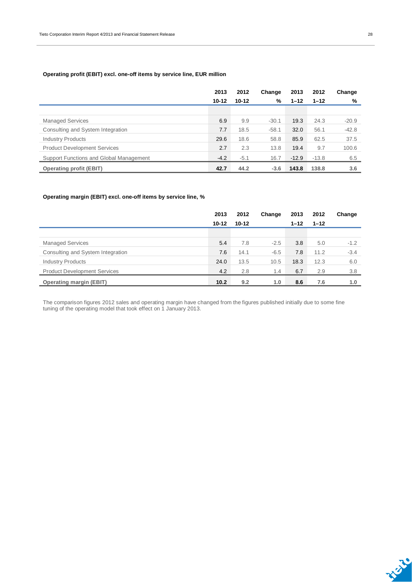#### **Operating profit (EBIT) excl. one-off items by service line, EUR million**

|                                         | 2013      | 2012      | Change  | 2013     | 2012     | Change  |
|-----------------------------------------|-----------|-----------|---------|----------|----------|---------|
|                                         | $10 - 12$ | $10 - 12$ | %       | $1 - 12$ | $1 - 12$ | %       |
|                                         |           |           |         |          |          |         |
| <b>Managed Services</b>                 | 6.9       | 9.9       | $-30.1$ | 19.3     | 24.3     | $-20.9$ |
| Consulting and System Integration       | 7.7       | 18.5      | $-58.1$ | 32.0     | 56.1     | $-42.8$ |
| <b>Industry Products</b>                | 29.6      | 18.6      | 58.8    | 85.9     | 62.5     | 37.5    |
| <b>Product Development Services</b>     | 2.7       | 2.3       | 13.8    | 19.4     | 9.7      | 100.6   |
| Support Functions and Global Management | $-4.2$    | $-5.1$    | 16.7    | $-12.9$  | $-13.8$  | 6.5     |
| <b>Operating profit (EBIT)</b>          | 42.7      | 44.2      | $-3.6$  | 143.8    | 138.8    | 3.6     |

#### **Operating margin (EBIT) excl. one-off items by service line, %**

|                                     | 2013      | 2012      | Change | 2013     | 2012     | Change |
|-------------------------------------|-----------|-----------|--------|----------|----------|--------|
|                                     | $10 - 12$ | $10 - 12$ |        | $1 - 12$ | $1 - 12$ |        |
|                                     |           |           |        |          |          |        |
| <b>Managed Services</b>             | 5.4       | 7.8       | $-2.5$ | 3.8      | 5.0      | $-1.2$ |
| Consulting and System Integration   | 7.6       | 14.1      | $-6.5$ | 7.8      | 11.2     | $-3.4$ |
| <b>Industry Products</b>            | 24.0      | 13.5      | 10.5   | 18.3     | 12.3     | 6.0    |
| <b>Product Development Services</b> | 4.2       | 2.8       | 1.4    | 6.7      | 2.9      | 3.8    |
| <b>Operating margin (EBIT)</b>      | 10.2      | 9.2       | 1.0    | 8.6      | 7.6      | 1.0    |

The comparison figures 2012 sales and operating margin have changed from the figures published initially due to some fine tuning of the operating model that took effect on 1 January 2013.

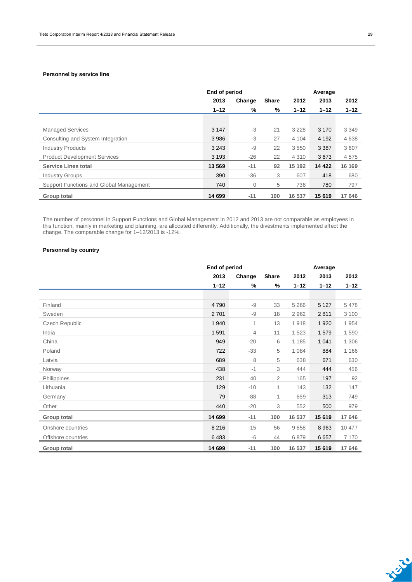#### **Personnel by service line**

|                                         | End of period |        |              | Average  |          |          |  |
|-----------------------------------------|---------------|--------|--------------|----------|----------|----------|--|
|                                         | 2013          | Change | <b>Share</b> | 2012     | 2013     | 2012     |  |
|                                         | $1 - 12$      | %      | %            | $1 - 12$ | $1 - 12$ | $1 - 12$ |  |
|                                         |               |        |              |          |          |          |  |
| <b>Managed Services</b>                 | 3 1 4 7       | $-3$   | 21           | 3 2 2 8  | 3 1 7 0  | 3 3 4 9  |  |
| Consulting and System Integration       | 3986          | $-3$   | 27           | 4 1 0 4  | 4 1 9 2  | 4638     |  |
| <b>Industry Products</b>                | 3 2 4 3       | $-9$   | 22           | 3550     | 3 3 8 7  | 3607     |  |
| <b>Product Development Services</b>     | 3 1 9 3       | $-26$  | 22           | 4 3 1 0  | 3673     | 4575     |  |
| <b>Service Lines total</b>              | 13 569        | $-11$  | 92           | 15 192   | 14 4 22  | 16 169   |  |
| <b>Industry Groups</b>                  | 390           | $-36$  | 3            | 607      | 418      | 680      |  |
| Support Functions and Global Management | 740           | 0      | 5            | 738      | 780      | 797      |  |
| Group total                             | 14 699        | $-11$  | 100          | 16 537   | 15 619   | 17 646   |  |

The number of personnel in Support Functions and Global Management in 2012 and 2013 are not comparable as employees in this function, mainly in marketing and planning, are allocated differently. Additionally, the divestments implemented affect the change. The comparable change for 1–12/2013 is -12%.

#### **Personnel by country**

|                       | End of period |        |              | Average  |          |          |  |
|-----------------------|---------------|--------|--------------|----------|----------|----------|--|
|                       | 2013          | Change | <b>Share</b> | 2012     | 2013     | 2012     |  |
|                       | $1 - 12$      | %      | %            | $1 - 12$ | $1 - 12$ | $1 - 12$ |  |
|                       |               |        |              |          |          |          |  |
| Finland               | 4790          | -9     | 33           | 5 2 6 6  | 5 1 2 7  | 5478     |  |
| Sweden                | 2701          | $-9$   | 18           | 2962     | 2811     | 3 1 0 0  |  |
| <b>Czech Republic</b> | 1940          | 1      | 13           | 1918     | 1920     | 1954     |  |
| India                 | 1591          | 4      | 11           | 1523     | 1579     | 1590     |  |
| China                 | 949           | $-20$  | 6            | 1 1 8 5  | 1 0 4 1  | 1 3 0 6  |  |
| Poland                | 722           | $-33$  | 5            | 1 0 8 4  | 884      | 1 1 6 6  |  |
| Latvia                | 689           | 8      | 5            | 638      | 671      | 630      |  |
| Norway                | 438           | $-1$   | 3            | 444      | 444      | 456      |  |
| Philippines           | 231           | 40     | 2            | 165      | 197      | 92       |  |
| Lithuania             | 129           | $-10$  | 1            | 143      | 132      | 147      |  |
| Germany               | 79            | $-88$  | 1            | 659      | 313      | 749      |  |
| Other                 | 440           | $-20$  | 3            | 552      | 500      | 979      |  |
| Group total           | 14 699        | $-11$  | 100          | 16 537   | 15 619   | 17 646   |  |
| Onshore countries     | 8 2 1 6       | $-15$  | 56           | 9658     | 8963     | 10 477   |  |
| Offshore countries    | 6483          | $-6$   | 44           | 6879     | 6657     | 7 1 7 0  |  |
| <b>Group total</b>    | 14 699        | $-11$  | 100          | 16 537   | 15 619   | 17 646   |  |

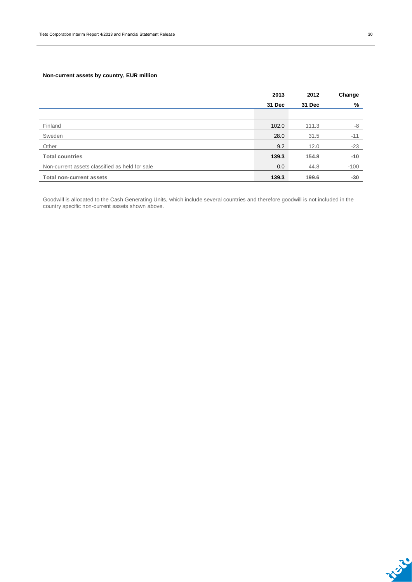#### **Non-current assets by country, EUR million**

|                                                | 2013   | 2012   |        |
|------------------------------------------------|--------|--------|--------|
|                                                | 31 Dec | 31 Dec | %      |
|                                                |        |        |        |
| Finland                                        | 102.0  | 111.3  | -8     |
| Sweden                                         | 28.0   | 31.5   | $-11$  |
| Other                                          | 9.2    | 12.0   | $-23$  |
| <b>Total countries</b>                         | 139.3  | 154.8  | $-10$  |
| Non-current assets classified as held for sale | 0.0    | 44.8   | $-100$ |
| <b>Total non-current assets</b>                | 139.3  | 199.6  | $-30$  |

Goodwill is allocated to the Cash Generating Units, which include several countries and therefore goodwill is not included in the country specific non-current assets shown above.

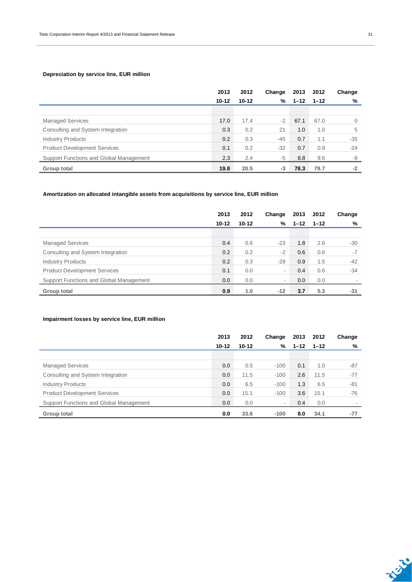#### **Depreciation by service line, EUR million**

|                                         | 2013      | 2012      | Change | 2013     | 2012     | Change       |
|-----------------------------------------|-----------|-----------|--------|----------|----------|--------------|
|                                         | $10 - 12$ | $10 - 12$ | %      | $1 - 12$ | $1 - 12$ | %            |
|                                         |           |           |        |          |          |              |
| <b>Managed Services</b>                 | 17.0      | 17.4      | $-2$   | 67.1     | 67.0     | $\mathbf{0}$ |
| Consulting and System Integration       | 0.3       | 0.2       | 21     | 1.0      | 1.0      | 5            |
| <b>Industry Products</b>                | 0.2       | 0.3       | $-45$  | 0.7      | 1.1      | $-35$        |
| <b>Product Development Services</b>     | 0.1       | 0.2       | $-32$  | 0.7      | 0.9      | $-24$        |
| Support Functions and Global Management | 2.3       | 2.4       | $-5$   | 8.8      | 9.6      | -9           |
| Group total                             | 19.8      | 20.5      | -3     | 78.3     | 79.7     | $-2$         |

#### **Amortization on allocated intangible assets from acquisitions by service line, EUR million**

|                                         | 2013      | 2012      | Change | 2013     | 2012     | Change |
|-----------------------------------------|-----------|-----------|--------|----------|----------|--------|
|                                         | $10 - 12$ | $10 - 12$ | %      | $1 - 12$ | $1 - 12$ | %      |
|                                         |           |           |        |          |          |        |
| <b>Managed Services</b>                 | 0.4       | 0.6       | $-23$  | 1.8      | 2.6      | -30    |
| Consulting and System Integration       | 0.2       | 0.2       | $-2$   | 0.6      | 0.6      | $-7$   |
| <b>Industry Products</b>                | 0.2       | 0.3       | $-29$  | 0.9      | 1.5      | $-42$  |
| <b>Product Development Services</b>     | 0.1       | 0.0       | -      | 0.4      | 0.6      | $-34$  |
| Support Functions and Global Management | 0.0       | 0.0       | -      | 0.0      | 0.0      |        |
| <b>Group total</b>                      | 0.9       | 1.0       | $-12$  | 3.7      | 5.3      | -31    |

#### **Impairment losses by service line, EUR million**

|                                         | 2013      | 2012      | Change                   | 2013     | 2012     | Change |
|-----------------------------------------|-----------|-----------|--------------------------|----------|----------|--------|
|                                         | $10 - 12$ | $10 - 12$ | %                        | $1 - 12$ | $1 - 12$ | %      |
|                                         |           |           |                          |          |          |        |
| <b>Managed Services</b>                 | 0.0       | 0.5       | $-100$                   | 0.1      | 1.0      | $-87$  |
| Consulting and System Integration       | 0.0       | 11.5      | $-100$                   | 2.6      | 11.5     | $-77$  |
| <b>Industry Products</b>                | 0.0       | 6.5       | $-100$                   | 1.3      | 6.5      | $-81$  |
| <b>Product Development Services</b>     | 0.0       | 15.1      | $-100$                   | 3.6      | 15.1     | -76    |
| Support Functions and Global Management | 0.0       | 0.0       | $\overline{\phantom{a}}$ | 0.4      | 0.0      |        |
| Group total                             | 0.0       | 33.6      | $-100$                   | 8.0      | 34.1     | $-77$  |

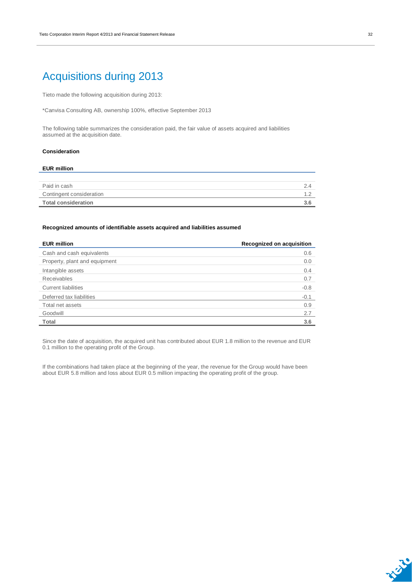### Acquisitions during 2013

Tieto made the following acquisition during 2013:

\*Canvisa Consulting AB, ownership 100%, effective September 2013

The following table summarizes the consideration paid, the fair value of assets acquired and liabilities assumed at the acquisition date.

#### **Consideration**

### **EUR million** Paid in cash 2.4 Contingent consideration 1.2 **Total consideration 3.6**

#### **Recognized amounts of identifiable assets acquired and liabilities assumed**

| <b>EUR million</b>            | Recognized on acquisition |
|-------------------------------|---------------------------|
| Cash and cash equivalents     | 0.6                       |
| Property, plant and equipment | 0.0                       |
| Intangible assets             | 0.4                       |
| <b>Receivables</b>            | 0.7                       |
| <b>Current liabilities</b>    | $-0.8$                    |
| Deferred tax liabilities      | $-0.1$                    |
| Total net assets              | 0.9                       |
| Goodwill                      | 2.7                       |
| <b>Total</b>                  | 3.6                       |

Since the date of acquisition, the acquired unit has contributed about EUR 1.8 million to the revenue and EUR 0.1 million to the operating profit of the Group.

If the combinations had taken place at the beginning of the year, the revenue for the Group would have been about EUR 5.8 million and loss about EUR 0.5 million impacting the operating profit of the group.

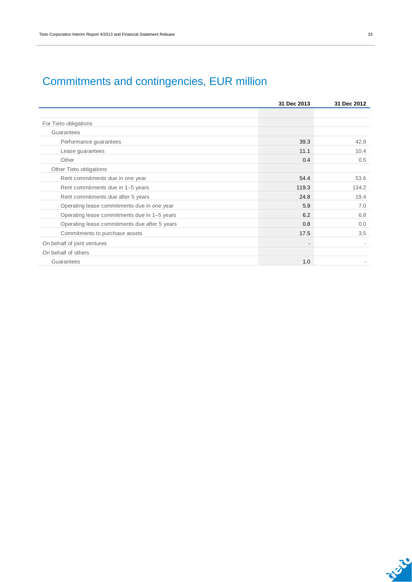## Commitments and contingencies, EUR million

|                                               | 31 Dec 2013 | 31 Dec 2012 |
|-----------------------------------------------|-------------|-------------|
|                                               |             |             |
| For Tieto obligations                         |             |             |
| Guarantees                                    |             |             |
| Performance guarantees                        | 39.3        | 42.8        |
| Lease guarantees                              | 11.1        | 10.4        |
| Other                                         | 0.4         | 0.5         |
| Other Tieto obligations                       |             |             |
| Rent commitments due in one year              | 54.4        | 53.6        |
| Rent commitments due in 1-5 years             | 119.3       | 134.2       |
| Rent commitments due after 5 years            | 24.8        | 19.4        |
| Operating lease commitments due in one year   | 5.9         | 7.0         |
| Operating lease commitments due in 1-5 years  | 6.2         | 6.8         |
| Operating lease commitments due after 5 years | 0.8         | 0.0         |
| Commitments to purchase assets                | 17.5        | 3.5         |
| On behalf of joint ventures                   |             |             |
| On behalf of others                           |             |             |
| Guarantees                                    | 1.0         |             |

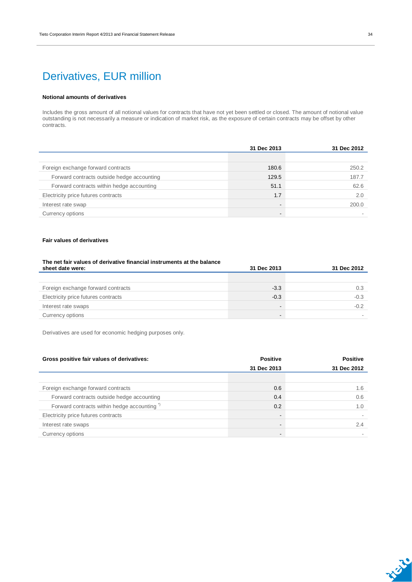## Derivatives, EUR million

#### **Notional amounts of derivatives**

Includes the gross amount of all notional values for contracts that have not yet been settled or closed. The amount of notional value outstanding is not necessarily a measure or indication of market risk, as the exposure of certain contracts may be offset by other contracts.

|                                            | 31 Dec 2013    | 31 Dec 2012 |
|--------------------------------------------|----------------|-------------|
|                                            |                |             |
| Foreign exchange forward contracts         | 180.6          | 250.2       |
| Forward contracts outside hedge accounting | 129.5          | 187.7       |
| Forward contracts within hedge accounting  | 51.1           | 62.6        |
| Electricity price futures contracts        | 1.7            | 2.0         |
| Interest rate swap                         | $\blacksquare$ | 200.0       |
| Currency options                           | -              |             |

#### **Fair values of derivatives**

#### **The net fair values of derivative financial instruments at the balance**

| sheet date were:                    | 31 Dec 2013 | 31 Dec 2012 |
|-------------------------------------|-------------|-------------|
|                                     |             |             |
| Foreign exchange forward contracts  | $-3.3$      | 0.3         |
| Electricity price futures contracts | $-0.3$      | $-0.3$      |
| Interest rate swaps                 | -           | $-0.2$      |
| Currency options                    |             |             |

Derivatives are used for economic hedging purposes only.

| Gross positive fair values of derivatives:             | <b>Positive</b> | <b>Positive</b> |
|--------------------------------------------------------|-----------------|-----------------|
|                                                        | 31 Dec 2013     | 31 Dec 2012     |
|                                                        |                 |                 |
| Foreign exchange forward contracts                     | 0.6             | 1.6             |
| Forward contracts outside hedge accounting             | 0.4             | 0.6             |
| Forward contracts within hedge accounting <sup>"</sup> | 0.2             | 1.0             |
| Electricity price futures contracts                    |                 |                 |
| Interest rate swaps                                    |                 | 2.4             |
| Currency options                                       |                 |                 |

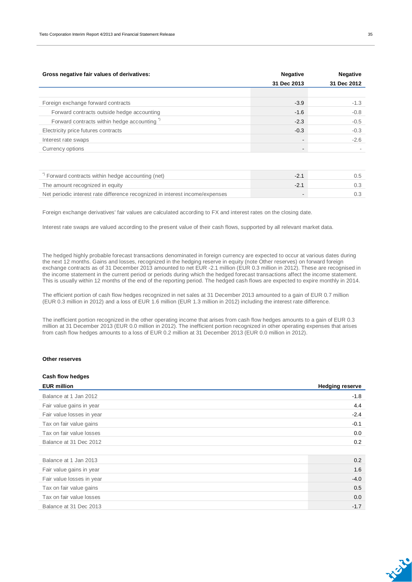| Gross negative fair values of derivatives:             | <b>Negative</b> | <b>Negative</b> |
|--------------------------------------------------------|-----------------|-----------------|
|                                                        | 31 Dec 2013     | 31 Dec 2012     |
|                                                        |                 |                 |
| Foreign exchange forward contracts                     | $-3.9$          | $-1.3$          |
| Forward contracts outside hedge accounting             | $-1.6$          | $-0.8$          |
| Forward contracts within hedge accounting <sup>"</sup> | $-2.3$          | $-0.5$          |
| Electricity price futures contracts                    | $-0.3$          | $-0.3$          |
| Interest rate swaps                                    |                 | $-2.6$          |
| Currency options                                       |                 |                 |

| Forward contracts within hedge accounting (net)                              |  |
|------------------------------------------------------------------------------|--|
| The amount recognized in equity                                              |  |
| Net periodic interest rate difference recognized in interest income/expenses |  |

Foreign exchange derivatives' fair values are calculated according to FX and interest rates on the closing date.

Interest rate swaps are valued according to the present value of their cash flows, supported by all relevant market data.

The hedged highly probable forecast transactions denominated in foreign currency are expected to occur at various dates during the next 12 months. Gains and losses, recognized in the hedging reserve in equity (note Other reserves) on forward foreign exchange contracts as of 31 December 2013 amounted to net EUR -2.1 million (EUR 0.3 million in 2012). These are recognised in the income statement in the current period or periods during which the hedged forecast transactions affect the income statement. This is usually within 12 months of the end of the reporting period. The hedged cash flows are expected to expire monthly in 2014.

The efficient portion of cash flow hedges recognized in net sales at 31 December 2013 amounted to a gain of EUR 0.7 million (EUR 0.3 million in 2012) and a loss of EUR 1.6 million (EUR 1.3 million in 2012) including the interest rate difference.

The inefficient portion recognized in the other operating income that arises from cash flow hedges amounts to a gain of EUR 0.3 million at 31 December 2013 (EUR 0.0 million in 2012). The inefficient portion recognized in other operating expenses that arises from cash flow hedges amounts to a loss of EUR 0.2 million at 31 December 2013 (EUR 0.0 million in 2012).

#### **Other reserves**

| Cash flow hedges          |                        |
|---------------------------|------------------------|
| <b>EUR million</b>        | <b>Hedging reserve</b> |
| Balance at 1 Jan 2012     | $-1.8$                 |
| Fair value gains in year  | 4.4                    |
| Fair value losses in year | $-2.4$                 |
| Tax on fair value gains   | $-0.1$                 |
| Tax on fair value losses  | 0.0                    |
| Balance at 31 Dec 2012    | 0.2                    |
|                           |                        |
| Balance at 1 Jan 2013     | 0.2                    |
| Fair value gains in year  | 1.6                    |
| Fair value losses in year | $-4.0$                 |
| Tax on fair value gains   | 0.5                    |
| Tax on fair value losses  | 0.0                    |
| Balance at 31 Dec 2013    | $-1.7$                 |

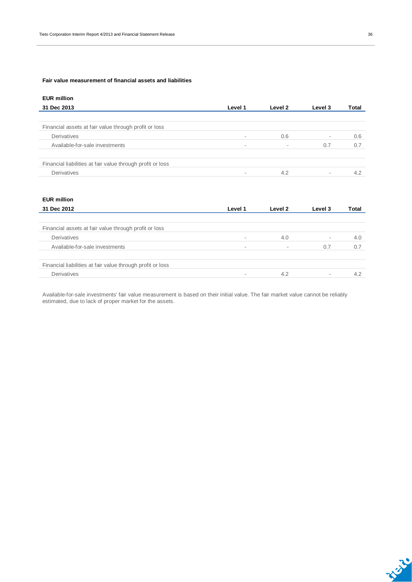#### **Fair value measurement of financial assets and liabilities**

| <b>EUR million</b>                                         |                          |         |                          |              |
|------------------------------------------------------------|--------------------------|---------|--------------------------|--------------|
| 31 Dec 2013                                                | Level 1                  | Level 2 | Level 3                  | <b>Total</b> |
|                                                            |                          |         |                          |              |
| Financial assets at fair value through profit or loss      |                          |         |                          |              |
| Derivatives                                                | $\overline{\phantom{a}}$ | 0.6     | $\sim$                   | 0.6          |
| Available-for-sale investments                             | $\overline{\phantom{a}}$ |         | 0.7                      | 0.7          |
| Financial liabilities at fair value through profit or loss |                          |         |                          |              |
| Derivatives                                                | $\sim$                   | 4.2     | $\overline{\phantom{a}}$ | 4.2          |

#### **EUR million**

| 31 Dec 2012                                                | Level 1                  | Level 2                  | Level 3                  | Total |
|------------------------------------------------------------|--------------------------|--------------------------|--------------------------|-------|
|                                                            |                          |                          |                          |       |
| Financial assets at fair value through profit or loss      |                          |                          |                          |       |
| Derivatives                                                |                          | 4.0                      | $\overline{\phantom{a}}$ | 4.0   |
| Available-for-sale investments                             | $\overline{\phantom{a}}$ | $\overline{\phantom{a}}$ | 0.7                      | 0.7   |
| Financial liabilities at fair value through profit or loss |                          |                          |                          |       |
| Derivatives                                                |                          | 4.2                      | ۰                        | 4.2   |

Available-for-sale investments' fair value measurement is based on their initial value. The fair market value cannot be reliably estimated, due to lack of proper market for the assets.

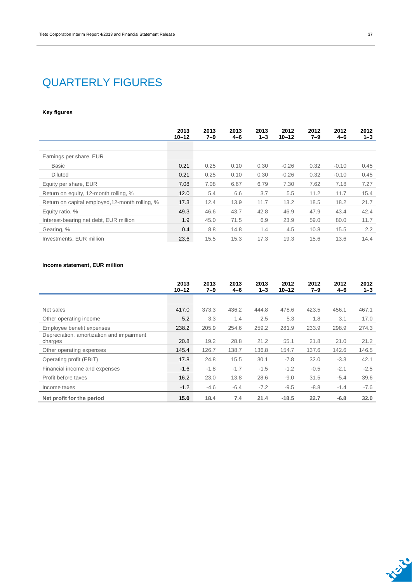### QUARTERLY FIGURES

#### **Key figures**

|                                                 | 2013<br>$10 - 12$ | 2013<br>$7 - 9$ | 2013<br>4-6 | 2013<br>$1 - 3$ | 2012<br>$10 - 12$ | 2012<br>$7 - 9$ | 2012<br>4-6 | 2012<br>$1 - 3$ |
|-------------------------------------------------|-------------------|-----------------|-------------|-----------------|-------------------|-----------------|-------------|-----------------|
|                                                 |                   |                 |             |                 |                   |                 |             |                 |
| Earnings per share, EUR                         |                   |                 |             |                 |                   |                 |             |                 |
| <b>Basic</b>                                    | 0.21              | 0.25            | 0.10        | 0.30            | $-0.26$           | 0.32            | $-0.10$     | 0.45            |
| <b>Diluted</b>                                  | 0.21              | 0.25            | 0.10        | 0.30            | $-0.26$           | 0.32            | $-0.10$     | 0.45            |
| Equity per share, EUR                           | 7.08              | 7.08            | 6.67        | 6.79            | 7.30              | 7.62            | 7.18        | 7.27            |
| Return on equity, 12-month rolling, %           | 12.0              | 5.4             | 6.6         | 3.7             | 5.5               | 11.2            | 11.7        | 15.4            |
| Return on capital employed, 12-month rolling, % | 17.3              | 12.4            | 13.9        | 11.7            | 13.2              | 18.5            | 18.2        | 21.7            |
| Equity ratio, %                                 | 49.3              | 46.6            | 43.7        | 42.8            | 46.9              | 47.9            | 43.4        | 42.4            |
| Interest-bearing net debt, EUR million          | 1.9               | 45.0            | 71.5        | 6.9             | 23.9              | 59.0            | 80.0        | 11.7            |
| Gearing, %                                      | 0.4               | 8.8             | 14.8        | 1.4             | 4.5               | 10.8            | 15.5        | 2.2             |
| Investments, EUR million                        | 23.6              | 15.5            | 15.3        | 17.3            | 19.3              | 15.6            | 13.6        | 14.4            |

### **Income statement, EUR million**

|                                                      | 2013<br>$10 - 12$ | 2013<br>$7 - 9$ | 2013<br>$4 - 6$ | 2013<br>$1 - 3$ | 2012<br>$10 - 12$ | 2012<br>$7 - 9$ | 2012<br>$4 - 6$ | 2012<br>$1 - 3$ |
|------------------------------------------------------|-------------------|-----------------|-----------------|-----------------|-------------------|-----------------|-----------------|-----------------|
|                                                      |                   |                 |                 |                 |                   |                 |                 |                 |
| Net sales                                            | 417.0             | 373.3           | 436.2           | 444.8           | 478.6             | 423.5           | 456.1           | 467.1           |
| Other operating income                               | 5.2               | 3.3             | 1.4             | 2.5             | 5.3               | 1.8             | 3.1             | 17.0            |
| Employee benefit expenses                            | 238.2             | 205.9           | 254.6           | 259.2           | 281.9             | 233.9           | 298.9           | 274.3           |
| Depreciation, amortization and impairment<br>charges | 20.8              | 19.2            | 28.8            | 21.2            | 55.1              | 21.8            | 21.0            | 21.2            |
| Other operating expenses                             | 145.4             | 126.7           | 138.7           | 136.8           | 154.7             | 137.6           | 142.6           | 146.5           |
| Operating profit (EBIT)                              | 17.8              | 24.8            | 15.5            | 30.1            | $-7.8$            | 32.0            | $-3.3$          | 42.1            |
| Financial income and expenses                        | $-1.6$            | $-1.8$          | $-1.7$          | $-1.5$          | $-1.2$            | $-0.5$          | $-2.1$          | $-2.5$          |
| Profit before taxes                                  | 16.2              | 23.0            | 13.8            | 28.6            | $-9.0$            | 31.5            | $-5.4$          | 39.6            |
| Income taxes                                         | $-1.2$            | $-4.6$          | $-6.4$          | $-7.2$          | $-9.5$            | $-8.8$          | $-1.4$          | $-7.6$          |
| Net profit for the period                            | 15.0              | 18.4            | 7.4             | 21.4            | $-18.5$           | 22.7            | $-6.8$          | 32.0            |

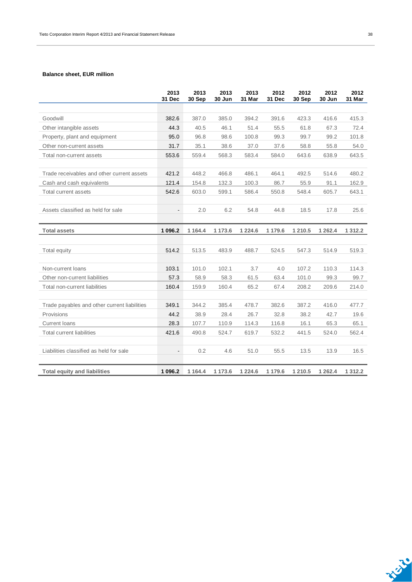#### **Balance sheet, EUR million**

|                                              | 2013<br>31 Dec           | 2013<br>30 Sep | 2013<br>30 Jun | 2013<br>31 Mar | 2012<br>31 Dec | 2012<br>30 Sep | 2012<br>30 Jun | 2012<br>31 Mar |
|----------------------------------------------|--------------------------|----------------|----------------|----------------|----------------|----------------|----------------|----------------|
|                                              |                          |                |                |                |                |                |                |                |
| Goodwill                                     | 382.6                    | 387.0          | 385.0          | 394.2          | 391.6          | 423.3          | 416.6          | 415.3          |
| Other intangible assets                      | 44.3                     | 40.5           | 46.1           | 51.4           | 55.5           | 61.8           | 67.3           | 72.4           |
| Property, plant and equipment                | 95.0                     | 96.8           | 98.6           | 100.8          | 99.3           | 99.7           | 99.2           | 101.8          |
| Other non-current assets                     | 31.7                     | 35.1           | 38.6           | 37.0           | 37.6           | 58.8           | 55.8           | 54.0           |
| Total non-current assets                     | 553.6                    | 559.4          | 568.3          | 583.4          | 584.0          | 643.6          | 638.9          | 643.5          |
| Trade receivables and other current assets   | 421.2                    | 448.2          | 466.8          | 486.1          | 464.1          | 492.5          | 514.6          | 480.2          |
| Cash and cash equivalents                    | 121.4                    | 154.8          | 132.3          | 100.3          | 86.7           | 55.9           | 91.1           | 162.9          |
| Total current assets                         | 542.6                    | 603.0          | 599.1          | 586.4          | 550.8          | 548.4          | 605.7          | 643.1          |
|                                              |                          |                |                |                |                |                |                |                |
| Assets classified as held for sale           |                          | 2.0            | 6.2            | 54.8           | 44.8           | 18.5           | 17.8           | 25.6           |
|                                              |                          |                |                |                |                |                |                |                |
| <b>Total assets</b>                          | 1 096.2                  | 1 1 64.4       | 1 173.6        | 1 2 2 4 . 6    | 1 179.6        | 1 210.5        | 1 2 6 2.4      | 1 3 1 2 . 2    |
|                                              |                          |                |                |                |                |                |                |                |
| Total equity                                 | 514.2                    | 513.5          | 483.9          | 488.7          | 524.5          | 547.3          | 514.9          | 519.3          |
|                                              |                          |                |                |                |                |                |                |                |
| Non-current loans                            | 103.1                    | 101.0          | 102.1          | 3.7            | 4.0            | 107.2          | 110.3          | 114.3          |
| Other non-current liabilities                | 57.3                     | 58.9           | 58.3           | 61.5           | 63.4           | 101.0          | 99.3           | 99.7           |
| Total non-current liabilities                | 160.4                    | 159.9          | 160.4          | 65.2           | 67.4           | 208.2          | 209.6          | 214.0          |
|                                              |                          |                |                |                |                |                |                |                |
| Trade payables and other current liabilities | 349.1                    | 344.2          | 385.4          | 478.7          | 382.6          | 387.2          | 416.0          | 477.7          |
| Provisions                                   | 44.2                     | 38.9           | 28.4           | 26.7           | 32.8           | 38.2           | 42.7           | 19.6           |
| <b>Current loans</b>                         | 28.3                     | 107.7          | 110.9          | 114.3          | 116.8          | 16.1           | 65.3           | 65.1           |
| <b>Total current liabilities</b>             | 421.6                    | 490.8          | 524.7          | 619.7          | 532.2          | 441.5          | 524.0          | 562.4          |
|                                              |                          |                |                |                |                |                |                |                |
| Liabilities classified as held for sale      | $\overline{\phantom{a}}$ | 0.2            | 4.6            | 51.0           | 55.5           | 13.5           | 13.9           | 16.5           |
| <b>Total equity and liabilities</b>          | 1 096.2                  | 1 1 64.4       | 1 173.6        | 1 2 2 4 .6     | 1 179.6        | 1 210.5        | 1 2 6 2.4      | 1 3 1 2.2      |

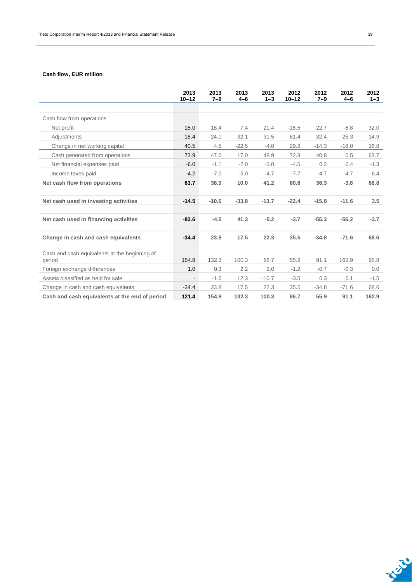#### **Cash flow, EUR million**

|                                                         | 2013<br>$10 - 12$ | 2013<br>$7 - 9$ | 2013<br>$4 - 6$ | 2013<br>$1 - 3$ | 2012<br>$10 - 12$ | 2012<br>$7 - 9$ | 2012<br>$4 - 6$ | 2012<br>$1 - 3$ |
|---------------------------------------------------------|-------------------|-----------------|-----------------|-----------------|-------------------|-----------------|-----------------|-----------------|
|                                                         |                   |                 |                 |                 |                   |                 |                 |                 |
| Cash flow from operations                               |                   |                 |                 |                 |                   |                 |                 |                 |
| Net profit                                              | 15.0              | 18.4            | 7.4             | 21.4            | $-18.5$           | 22.7            | $-6.8$          | 32.0            |
| Adjustments                                             | 18.4              | 24.1            | 32.1            | 31.5            | 61.4              | 32.4            | 25.3            | 14.9            |
| Change in net working capital                           | 40.5              | 4.5             | $-22.5$         | $-4.0$          | 29.9              | $-14.3$         | $-18.0$         | 16.8            |
| Cash generated from operations                          | 73.9              | 47.0            | 17.0            | 48.9            | 72.8              | 40.8            | 0.5             | 63.7            |
| Net financial expenses paid                             | $-6.0$            | $-1.1$          | $-2.0$          | $-3.0$          | $-4.5$            | 0.2             | 0.4             | $-1.3$          |
| Income taxes paid                                       | $-4.2$            | $-7.0$          | $-5.0$          | $-4.7$          | $-7.7$            | $-4.7$          | $-4.7$          | 6.4             |
| Net cash flow from operations                           | 63.7              | 38.9            | 10.0            | 41.2            | 60.6              | 36.3            | $-3.8$          | 68.8            |
| Net cash used in investing activities                   | $-14.5$           | $-10.6$         | $-33.8$         | $-13.7$         | $-22.4$           | $-15.8$         | $-11.6$         | 3.5             |
| Net cash used in financing activities                   | $-83.6$           | $-4.5$          | 41.3            | $-5.2$          | $-2.7$            | $-55.3$         | $-56.2$         | $-3.7$          |
| Change in cash and cash equivalents                     | $-34.4$           | 23.8            | 17.5            | 22.3            | 35.5              | $-34.8$         | $-71.6$         | 68.6            |
| Cash and cash equivalents at the beginning of<br>period | 154.8             | 132.3           | 100.3           | 86.7            | 55.9              | 91.1            | 162.9           | 95.8            |
| Foreign exchange differences                            | 1.0               | 0.3             | 2.2             | 2.0             | $-1.2$            | $-0.7$          | $-0.3$          | 0.0             |
| Assets classified as held for sale                      |                   | $-1.6$          | 12.3            | $-10.7$         | $-3.5$            | 0.3             | 0.1             | $-1.5$          |
| Change in cash and cash equivalents                     | $-34.4$           | 23.8            | 17.5            | 22.3            | 35.5              | $-34.8$         | $-71.6$         | 68.6            |
| Cash and cash equivalents at the end of period          | 121.4             | 154.8           | 132.3           | 100.3           | 86.7              | 55.9            | 91.1            | 162.9           |

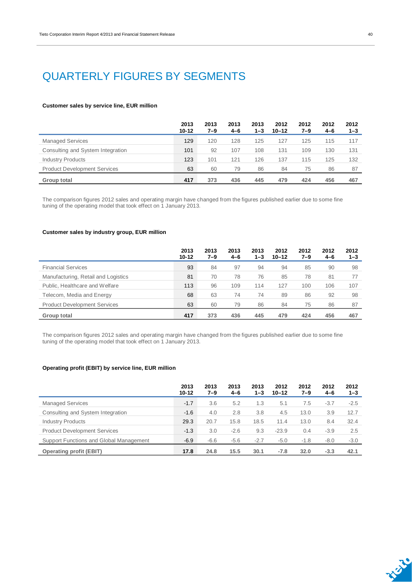### QUARTERLY FIGURES BY SEGMENTS

#### **Customer sales by service line, EUR million**

|                                     | 2013<br>$10 - 12$ | 2013<br>7–9 | 2013<br>4-6 | 2013<br>$1 - 3$ | 2012<br>$10 - 12$ | 2012<br>7–9 | 2012<br>4-6 | 2012<br>$1 - 3$ |
|-------------------------------------|-------------------|-------------|-------------|-----------------|-------------------|-------------|-------------|-----------------|
| <b>Managed Services</b>             | 129               | 120         | 128         | 125             | 127               | 125         | 115         | 117             |
| Consulting and System Integration   | 101               | 92          | 107         | 108             | 131               | 109         | 130         | 131             |
| <b>Industry Products</b>            | 123               | 101         | 121         | 126             | 137               | 115         | 125         | 132             |
| <b>Product Development Services</b> | 63                | 60          | 79          | 86              | 84                | 75          | 86          | 87              |
| Group total                         | 417               | 373         | 436         | 445             | 479               | 424         | 456         | 467             |

The comparison figures 2012 sales and operating margin have changed from the figures published earlier due to some fine tuning of the operating model that took effect on 1 January 2013.

#### **Customer sales by industry group, EUR million**

|                                     | 2013<br>$10 - 12$ | 2013<br>7–9 | 2013<br>$4 - 6$ | 2013<br>$1 - 3$ | 2012<br>$10 - 12$ | 2012<br>$7 - 9$ | 2012<br>4-6 | 2012<br>$1 - 3$ |
|-------------------------------------|-------------------|-------------|-----------------|-----------------|-------------------|-----------------|-------------|-----------------|
| <b>Financial Services</b>           | 93                | 84          | 97              | 94              | 94                | 85              | 90          | 98              |
| Manufacturing, Retail and Logistics | 81                | 70          | 78              | 76              | 85                | 78              | 81          | 77              |
| Public, Healthcare and Welfare      | 113               | 96          | 109             | 114             | 127               | 100             | 106         | 107             |
| Telecom, Media and Energy           | 68                | 63          | 74              | 74              | 89                | 86              | 92          | 98              |
| <b>Product Development Services</b> | 63                | 60          | 79              | 86              | 84                | 75              | 86          | 87              |
| Group total                         | 417               | 373         | 436             | 445             | 479               | 424             | 456         | 467             |

The comparison figures 2012 sales and operating margin have changed from the figures published earlier due to some fine tuning of the operating model that took effect on 1 January 2013.

#### **Operating profit (EBIT) by service line, EUR million**

|                                         | 2013<br>$10 - 12$ | 2013<br>7–9 | 2013<br>$4 - 6$ | 2013<br>$1 - 3$ | 2012<br>$10 - 12$ | 2012<br>$7 - 9$ | 2012<br>$4 - 6$ | 2012<br>$1 - 3$ |
|-----------------------------------------|-------------------|-------------|-----------------|-----------------|-------------------|-----------------|-----------------|-----------------|
| <b>Managed Services</b>                 | $-1.7$            | 3.6         | 5.2             | 1.3             | 5.1               | 7.5             | $-3.7$          | $-2.5$          |
| Consulting and System Integration       | $-1.6$            | 4.0         | 2.8             | 3.8             | 4.5               | 13.0            | 3.9             | 12.7            |
| <b>Industry Products</b>                | 29.3              | 20.7        | 15.8            | 18.5            | 11.4              | 13.0            | 8.4             | 32.4            |
| <b>Product Development Services</b>     | $-1.3$            | 3.0         | $-2.6$          | 9.3             | $-23.9$           | 0.4             | $-3.9$          | 2.5             |
| Support Functions and Global Management | $-6.9$            | $-6.6$      | $-5.6$          | $-2.7$          | $-5.0$            | $-1.8$          | $-8.0$          | $-3.0$          |
| <b>Operating profit (EBIT)</b>          | 17.8              | 24.8        | 15.5            | 30.1            | $-7.8$            | 32.0            | $-3.3$          | 42.1            |

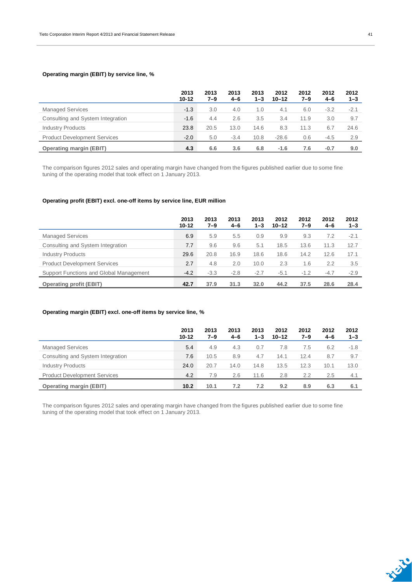#### **Operating margin (EBIT) by service line, %**

|                                     | 2013<br>$10 - 12$ | 2013<br>7–9 | 2013<br>$4 - 6$ | 2013<br>$1 - 3$ | 2012<br>$10 - 12$ | 2012<br>7–9 | 2012<br>4-6 | 2012<br>$1 - 3$ |
|-------------------------------------|-------------------|-------------|-----------------|-----------------|-------------------|-------------|-------------|-----------------|
| <b>Managed Services</b>             | $-1.3$            | 3.0         | 4.0             | 1.0             | 4.1               | 6.0         | $-3.2$      | $-2.1$          |
| Consulting and System Integration   | $-1.6$            | 4.4         | 2.6             | 3.5             | 3.4               | 11.9        | 3.0         | 9.7             |
| <b>Industry Products</b>            | 23.8              | 20.5        | 13.0            | 14.6            | 8.3               | 11.3        | 6.7         | 24.6            |
| <b>Product Development Services</b> | $-2.0$            | 5.0         | $-3.4$          | 10.8            | $-28.6$           | 0.6         | $-4.5$      | 2.9             |
| <b>Operating margin (EBIT)</b>      | 4.3               | 6.6         | 3.6             | 6.8             | $-1.6$            | 7.6         | $-0.7$      | 9.0             |

The comparison figures 2012 sales and operating margin have changed from the figures published earlier due to some fine tuning of the operating model that took effect on 1 January 2013.

#### **Operating profit (EBIT) excl. one-off items by service line, EUR million**

|                                         | 2013<br>$10 - 12$ | 2013<br>7–9 | 2013<br>$4 - 6$ | 2013<br>$1 - 3$ | 2012<br>$10 - 12$ | 2012<br>7–9 | 2012<br>$4 - 6$ | 2012<br>$1 - 3$ |
|-----------------------------------------|-------------------|-------------|-----------------|-----------------|-------------------|-------------|-----------------|-----------------|
| <b>Managed Services</b>                 | 6.9               | 5.9         | 5.5             | 0.9             | 9.9               | 9.3         | 7.2             | $-2.1$          |
| Consulting and System Integration       | 7.7               | 9.6         | 9.6             | 5.1             | 18.5              | 13.6        | 11.3            | 12.7            |
| <b>Industry Products</b>                | 29.6              | 20.8        | 16.9            | 18.6            | 18.6              | 14.2        | 12.6            | 17.1            |
| <b>Product Development Services</b>     | 2.7               | 4.8         | 2.0             | 10.0            | 2.3               | 1.6         | 2.2             | 3.5             |
| Support Functions and Global Management | $-4.2$            | $-3.3$      | $-2.8$          | $-2.7$          | $-5.1$            | $-1.2$      | $-4.7$          | $-2.9$          |
| <b>Operating profit (EBIT)</b>          | 42.7              | 37.9        | 31.3            | 32.0            | 44.2              | 37.5        | 28.6            | 28.4            |

#### **Operating margin (EBIT) excl. one-off items by service line, %**

|                                     | 2013<br>$10 - 12$ | 2013<br>7–9 | 2013<br>$4 - 6$ | 2013<br>$1 - 3$ | 2012<br>$10 - 12$ | 2012<br>$7 - 9$ | 2012<br>4-6 | 2012<br>$1 - 3$ |
|-------------------------------------|-------------------|-------------|-----------------|-----------------|-------------------|-----------------|-------------|-----------------|
| <b>Managed Services</b>             | 5.4               | 4.9         | 4.3             | 0.7             | 7.8               | 7.5             | 6.2         | $-1.8$          |
| Consulting and System Integration   | 7.6               | 10.5        | 8.9             | 4.7             | 14.1              | 12.4            | 8.7         | 9.7             |
| <b>Industry Products</b>            | 24.0              | 20.7        | 14.0            | 14.8            | 13.5              | 12.3            | 10.1        | 13.0            |
| <b>Product Development Services</b> | 4.2               | 7.9         | 2.6             | 11.6            | 2.8               | 2.2             | 2.5         | 4.1             |
| <b>Operating margin (EBIT)</b>      | 10.2              | 10.1        | 7.2             | 7.2             | 9.2               | 8.9             | 6.3         | 6.1             |

The comparison figures 2012 sales and operating margin have changed from the figures published earlier due to some fine tuning of the operating model that took effect on 1 January 2013.

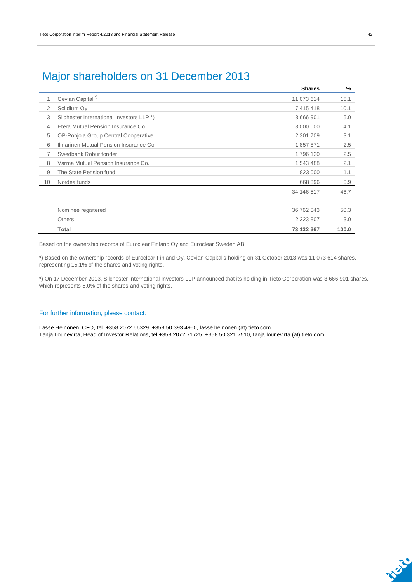|                                           | <b>Shares</b> | %     |
|-------------------------------------------|---------------|-------|
| Cevian Capital <sup>*</sup>               | 11 073 614    | 15.1  |
| Solidium Oy                               | 7 415 418     | 10.1  |
| Silchester International Investors LLP *) | 3 666 901     | 5.0   |
| Etera Mutual Pension Insurance Co.        | 3 000 000     | 4.1   |
| OP-Pohjola Group Central Cooperative      | 2 301 709     | 3.1   |
| Ilmarinen Mutual Pension Insurance Co.    | 1857871       | 2.5   |
| Swedbank Robur fonder                     | 1796 120      | 2.5   |
| Varma Mutual Pension Insurance Co.        | 1 543 488     | 2.1   |
| The State Pension fund                    | 823 000       | 1.1   |
| Nordea funds                              | 668 396       | 0.9   |
|                                           | 34 146 517    | 46.7  |
|                                           |               |       |
| Nominee registered                        | 36 762 043    | 50.3  |
| <b>Others</b>                             | 2 2 2 3 8 0 7 | 3.0   |
| Total                                     | 73 132 367    | 100.0 |
|                                           |               |       |

### Major shareholders on 31 December 2013

Based on the ownership records of Euroclear Finland Oy and Euroclear Sweden AB.

\*) Based on the ownership records of Euroclear Finland Oy, Cevian Capital's holding on 31 October 2013 was 11 073 614 shares, representing 15.1% of the shares and voting rights.

\*) On 17 December 2013, Silchester International Investors LLP announced that its holding in Tieto Corporation was 3 666 901 shares, which represents 5.0% of the shares and voting rights.

#### For further information, please contact:

Lasse Heinonen, CFO, tel. +358 2072 66329, +358 50 393 4950, lasse.heinonen (at) tieto.com Tanja Lounevirta, Head of Investor Relations, tel +358 2072 71725, +358 50 321 7510, tanja.lounevirta (at) tieto.com